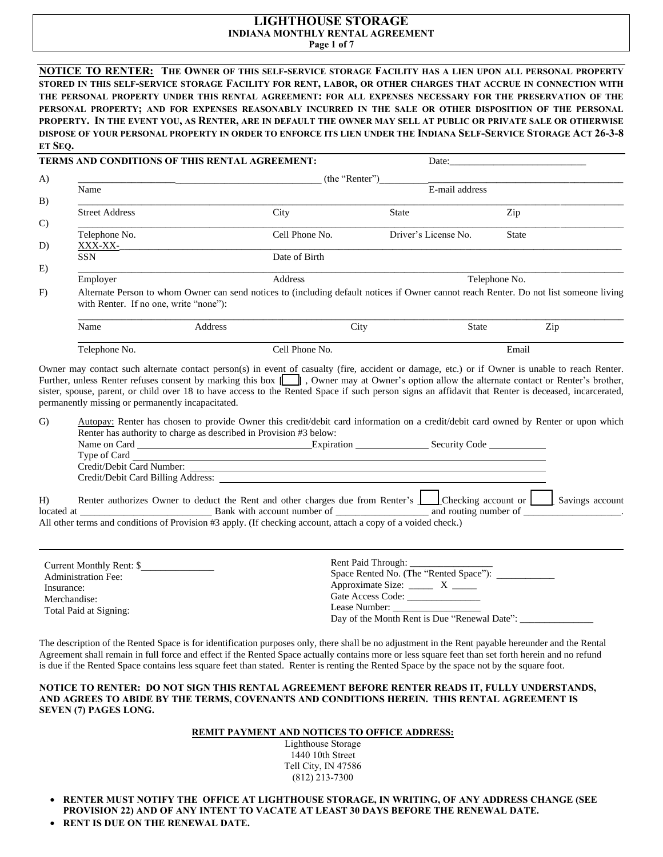# **LIGHTHOUSE STORAGE INDIANA MONTHLY RENTAL AGREEMENT**

**Page 1 of 7**

**NOTICE TO RENTER: THE OWNER OF THIS SELF-SERVICE STORAGE FACILITY HAS A LIEN UPON ALL PERSONAL PROPERTY STORED IN THIS SELF-SERVICE STORAGE FACILITY FOR RENT, LABOR, OR OTHER CHARGES THAT ACCRUE IN CONNECTION WITH THE PERSONAL PROPERTY UNDER THIS RENTAL AGREEMENT: FOR ALL EXPENSES NECESSARY FOR THE PRESERVATION OF THE PERSONAL PROPERTY; AND FOR EXPENSES REASONABLY INCURRED IN THE SALE OR OTHER DISPOSITION OF THE PERSONAL PROPERTY. IN THE EVENT YOU, AS RENTER, ARE IN DEFAULT THE OWNER MAY SELL AT PUBLIC OR PRIVATE SALE OR OTHERWISE DISPOSE OF YOUR PERSONAL PROPERTY IN ORDER TO ENFORCE ITS LIEN UNDER THE INDIANA SELF-SERVICE STORAGE ACT 26-3-8 ET SEQ.**

|               |                                                   | <b>TERMS AND CONDITIONS OF THIS RENTAL AGREEMENT:</b> |                | Date: $\qquad \qquad$                                                                                                                                                                                                                                                                                                                                                                                                                                    |               |     |  |  |  |
|---------------|---------------------------------------------------|-------------------------------------------------------|----------------|----------------------------------------------------------------------------------------------------------------------------------------------------------------------------------------------------------------------------------------------------------------------------------------------------------------------------------------------------------------------------------------------------------------------------------------------------------|---------------|-----|--|--|--|
| A)            | (the "Renter")                                    |                                                       |                |                                                                                                                                                                                                                                                                                                                                                                                                                                                          |               |     |  |  |  |
|               | Name                                              |                                                       |                | E-mail address                                                                                                                                                                                                                                                                                                                                                                                                                                           |               |     |  |  |  |
| B)            |                                                   |                                                       |                |                                                                                                                                                                                                                                                                                                                                                                                                                                                          |               |     |  |  |  |
| $\mathcal{C}$ | <b>Street Address</b>                             |                                                       | City           | <b>State</b>                                                                                                                                                                                                                                                                                                                                                                                                                                             | Zip           |     |  |  |  |
|               | Telephone No.                                     |                                                       | Cell Phone No. | Driver's License No.                                                                                                                                                                                                                                                                                                                                                                                                                                     | <b>State</b>  |     |  |  |  |
| D)            | XXX-XX-                                           |                                                       |                |                                                                                                                                                                                                                                                                                                                                                                                                                                                          |               |     |  |  |  |
|               | SSN                                               |                                                       | Date of Birth  |                                                                                                                                                                                                                                                                                                                                                                                                                                                          |               |     |  |  |  |
| E)            |                                                   |                                                       |                |                                                                                                                                                                                                                                                                                                                                                                                                                                                          |               |     |  |  |  |
|               | Employer                                          |                                                       | Address        |                                                                                                                                                                                                                                                                                                                                                                                                                                                          | Telephone No. |     |  |  |  |
| F)            | with Renter. If no one, write "none"):            |                                                       |                | Alternate Person to whom Owner can send notices to (including default notices if Owner cannot reach Renter. Do not list someone living                                                                                                                                                                                                                                                                                                                   |               |     |  |  |  |
|               | Name                                              | Address                                               | City           |                                                                                                                                                                                                                                                                                                                                                                                                                                                          | <b>State</b>  | Zip |  |  |  |
|               | Telephone No.                                     |                                                       | Cell Phone No. |                                                                                                                                                                                                                                                                                                                                                                                                                                                          | Email         |     |  |  |  |
|               | permanently missing or permanently incapacitated. |                                                       |                | Owner may contact such alternate contact person(s) in event of casualty (fire, accident or damage, etc.) or if Owner is unable to reach Renter.<br>Further, unless Renter refuses consent by marking this box [15], Owner may at Owner's option allow the alternate contact or Renter's brother,<br>sister, spouse, parent, or child over 18 to have access to the Rented Space if such person signs an affidavit that Renter is deceased, incarcerated, |               |     |  |  |  |

G) Autopay: Renter has chosen to provide Owner this credit/debit card information on a credit/debit card owned by Renter or upon which Renter has authority to charge as described in Provision #3 below:

|    | Name on Card              | Expiration                                                                                                         | Security Code |  |
|----|---------------------------|--------------------------------------------------------------------------------------------------------------------|---------------|--|
|    | Type of Card              |                                                                                                                    |               |  |
|    | Credit/Debit Card Number: |                                                                                                                    |               |  |
|    |                           |                                                                                                                    |               |  |
| H) |                           | Renter authorizes Owner to deduct the Rent and other charges due from Renter's Checking account or Savings account |               |  |
|    |                           |                                                                                                                    |               |  |
|    |                           | All other terms and conditions of Provision #3 apply. (If checking account, attach a copy of a voided check.)      |               |  |

| Current Monthly Rent: \$   | Rent Paid Through:                           |
|----------------------------|----------------------------------------------|
| <b>Administration Fee:</b> | Space Rented No. (The "Rented Space"):       |
| Insurance:                 | Approximate Size: $\frac{X}{x}$              |
| Merchandise:               | Gate Access Code:                            |
| Total Paid at Signing:     | Lease Number:                                |
|                            | Day of the Month Rent is Due "Renewal Date": |

The description of the Rented Space is for identification purposes only, there shall be no adjustment in the Rent payable hereunder and the Rental Agreement shall remain in full force and effect if the Rented Space actually contains more or less square feet than set forth herein and no refund is due if the Rented Space contains less square feet than stated. Renter is renting the Rented Space by the space not by the square foot.

#### **NOTICE TO RENTER: DO NOT SIGN THIS RENTAL AGREEMENT BEFORE RENTER READS IT, FULLY UNDERSTANDS, AND AGREES TO ABIDE BY THE TERMS, COVENANTS AND CONDITIONS HEREIN. THIS RENTAL AGREEMENT IS SEVEN (7) PAGES LONG.**

# **REMIT PAYMENT AND NOTICES TO OFFICE ADDRESS:**

Lighthouse Storage 1440 10th Street Tell City, IN 47586 (812) 213-7300

- **RENTER MUST NOTIFY THE OFFICE AT LIGHTHOUSE STORAGE, IN WRITING, OF ANY ADDRESS CHANGE (SEE PROVISION 22) AND OF ANY INTENT TO VACATE AT LEAST 30 DAYS BEFORE THE RENEWAL DATE.**
- **RENT IS DUE ON THE RENEWAL DATE.**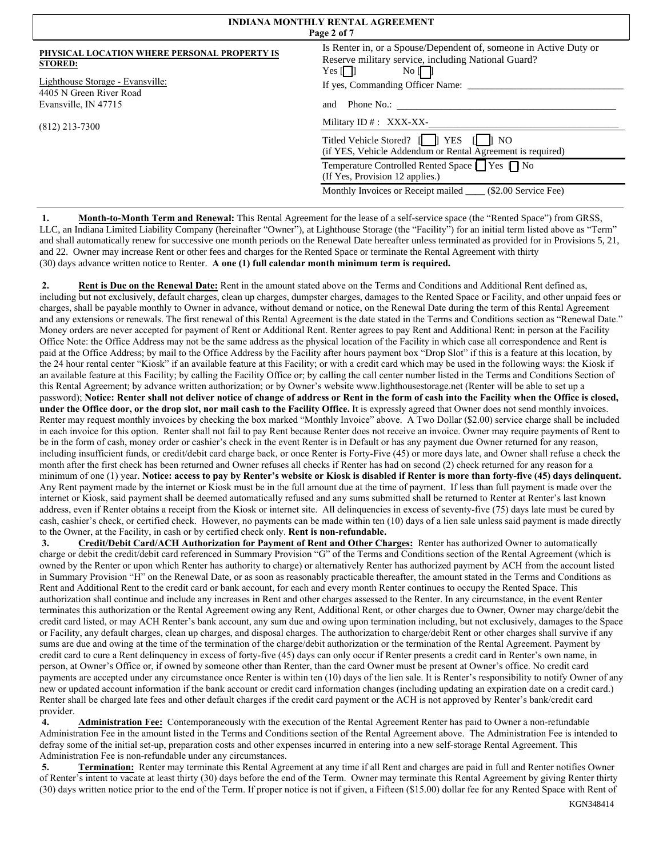| <b>INDIANA MONTHLY RENTAL AGREEMENT</b><br>Page 2 of 7         |                                                                                                                                                                                               |  |  |  |
|----------------------------------------------------------------|-----------------------------------------------------------------------------------------------------------------------------------------------------------------------------------------------|--|--|--|
| PHYSICAL LOCATION WHERE PERSONAL PROPERTY IS<br><b>STORED:</b> | Is Renter in, or a Spouse/Dependent of, someone in Active Duty or<br>Reserve military service, including National Guard?<br>Yes $\begin{bmatrix} \phantom{a} \end{bmatrix}$<br>$\overline{N}$ |  |  |  |
| Lighthouse Storage - Evansville:<br>4405 N Green River Road    | If yes, Commanding Officer Name:                                                                                                                                                              |  |  |  |
| Evansville, IN 47715                                           | Phone No.:<br>and                                                                                                                                                                             |  |  |  |
| $(812)$ 213-7300                                               | Military ID $#$ : XXX-XX-                                                                                                                                                                     |  |  |  |
|                                                                | Titled Vehicle Stored? [     YES<br>N <sub>O</sub><br>(if YES, Vehicle Addendum or Rental Agreement is required)                                                                              |  |  |  |
|                                                                | Temperature Controlled Rented Space   Yes ∏ No<br>(If Yes, Provision 12 applies.)                                                                                                             |  |  |  |
|                                                                | Monthly Invoices or Receipt mailed _____ (\$2.00 Service Fee)                                                                                                                                 |  |  |  |

**1. Month-to-Month Term and Renewal:** This Rental Agreement for the lease of a self-service space (the "Rented Space") from GRSS, LLC, an Indiana Limited Liability Company (hereinafter "Owner"), at Lighthouse Storage (the "Facility") for an initial term listed above as "Term" and shall automatically renew for successive one month periods on the Renewal Date hereafter unless terminated as provided for in Provisions 5, 21, and 22. Owner may increase Rent or other fees and charges for the Rented Space or terminate the Rental Agreement with thirty (30) days advance written notice to Renter. **A one (1) full calendar month minimum term is required.**

**2. Rent is Due on the Renewal Date:** Rent in the amount stated above on the Terms and Conditions and Additional Rent defined as, including but not exclusively, default charges, clean up charges, dumpster charges, damages to the Rented Space or Facility, and other unpaid fees or charges, shall be payable monthly to Owner in advance, without demand or notice, on the Renewal Date during the term of this Rental Agreement and any extensions or renewals. The first renewal of this Rental Agreement is the date stated in the Terms and Conditions section as "Renewal Date." Money orders are never accepted for payment of Rent or Additional Rent. Renter agrees to pay Rent and Additional Rent: in person at the Facility Office Note: the Office Address may not be the same address as the physical location of the Facility in which case all correspondence and Rent is paid at the Office Address; by mail to the Office Address by the Facility after hours payment box "Drop Slot" if this is a feature at this location, by the 24 hour rental center "Kiosk" if an available feature at this Facility; or with a credit card which may be used in the following ways: the Kiosk if an available feature at this Facility; by calling the Facility Office or; by calling the call center number listed in the Terms and Conditions Section of this Rental Agreement; by advance written authorization; or by Owner's website www.lighthousestorage.net (Renter will be able to set up a password); **Notice: Renter shall not deliver notice of change of address or Rent in the form of cash into the Facility when the Office is closed, under the Office door, or the drop slot, nor mail cash to the Facility Office.** It is expressly agreed that Owner does not send monthly invoices. Renter may request monthly invoices by checking the box marked "Monthly Invoice" above. A Two Dollar (\$2.00) service charge shall be included in each invoice for this option. Renter shall not fail to pay Rent because Renter does not receive an invoice. Owner may require payments of Rent to be in the form of cash, money order or cashier's check in the event Renter is in Default or has any payment due Owner returned for any reason, including insufficient funds, or credit/debit card charge back, or once Renter is Forty-Five (45) or more days late, and Owner shall refuse a check the month after the first check has been returned and Owner refuses all checks if Renter has had on second (2) check returned for any reason for a minimum of one (1) year. **Notice: access to pay by Renter's website or Kiosk is disabled if Renter is more than forty-five (45) days delinquent.** Any Rent payment made by the internet or Kiosk must be in the full amount due at the time of payment. If less than full payment is made over the internet or Kiosk, said payment shall be deemed automatically refused and any sums submitted shall be returned to Renter at Renter's last known address, even if Renter obtains a receipt from the Kiosk or internet site. All delinquencies in excess of seventy-five (75) days late must be cured by cash, cashier's check, or certified check. However, no payments can be made within ten (10) days of a lien sale unless said payment is made directly to the Owner, at the Facility, in cash or by certified check only. **Rent is non-refundable.**

**3. Credit/Debit Card/ACH Authorization for Payment of Rent and Other Charges:** Renter has authorized Owner to automatically charge or debit the credit/debit card referenced in Summary Provision "G" of the Terms and Conditions section of the Rental Agreement (which is owned by the Renter or upon which Renter has authority to charge) or alternatively Renter has authorized payment by ACH from the account listed in Summary Provision "H" on the Renewal Date, or as soon as reasonably practicable thereafter, the amount stated in the Terms and Conditions as Rent and Additional Rent to the credit card or bank account, for each and every month Renter continues to occupy the Rented Space. This authorization shall continue and include any increases in Rent and other charges assessed to the Renter. In any circumstance, in the event Renter terminates this authorization or the Rental Agreement owing any Rent, Additional Rent, or other charges due to Owner, Owner may charge/debit the credit card listed, or may ACH Renter's bank account, any sum due and owing upon termination including, but not exclusively, damages to the Space or Facility, any default charges, clean up charges, and disposal charges. The authorization to charge/debit Rent or other charges shall survive if any sums are due and owing at the time of the termination of the charge/debit authorization or the termination of the Rental Agreement. Payment by credit card to cure a Rent delinquency in excess of forty-five (45) days can only occur if Renter presents a credit card in Renter's own name, in person, at Owner's Office or, if owned by someone other than Renter, than the card Owner must be present at Owner's office. No credit card payments are accepted under any circumstance once Renter is within ten (10) days of the lien sale. It is Renter's responsibility to notify Owner of any new or updated account information if the bank account or credit card information changes (including updating an expiration date on a credit card.) Renter shall be charged late fees and other default charges if the credit card payment or the ACH is not approved by Renter's bank/credit card provider.

**4. Administration Fee:** Contemporaneously with the execution of the Rental Agreement Renter has paid to Owner a non-refundable Administration Fee in the amount listed in the Terms and Conditions section of the Rental Agreement above. The Administration Fee is intended to defray some of the initial set-up, preparation costs and other expenses incurred in entering into a new self-storage Rental Agreement. This Administration Fee is non-refundable under any circumstances.

**5. Termination:** Renter may terminate this Rental Agreement at any time if all Rent and charges are paid in full and Renter notifies Owner of Renter's intent to vacate at least thirty (30) days before the end of the Term. Owner may terminate this Rental Agreement by giving Renter thirty (30) days written notice prior to the end of the Term. If proper notice is not if given, a Fifteen (\$15.00) dollar fee for any Rented Space with Rent of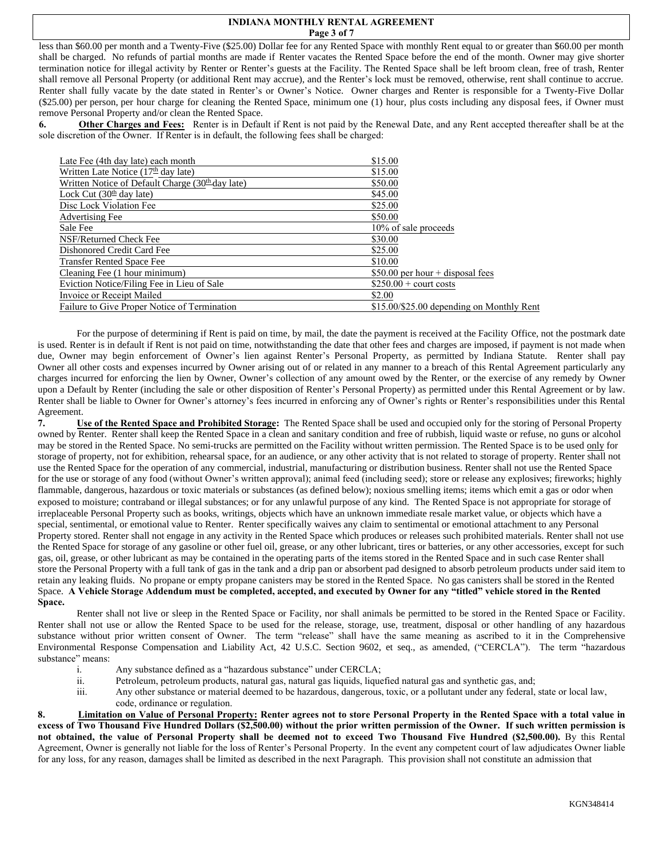### **INDIANA MONTHLY RENTAL AGREEMENT Page 3 of 7**

less than \$60.00 per month and a Twenty-Five (\$25.00) Dollar fee for any Rented Space with monthly Rent equal to or greater than \$60.00 per month shall be charged. No refunds of partial months are made if Renter vacates the Rented Space before the end of the month. Owner may give shorter termination notice for illegal activity by Renter or Renter's guests at the Facility. The Rented Space shall be left broom clean, free of trash, Renter shall remove all Personal Property (or additional Rent may accrue), and the Renter's lock must be removed, otherwise, rent shall continue to accrue. Renter shall fully vacate by the date stated in Renter's or Owner's Notice. Owner charges and Renter is responsible for a Twenty-Five Dollar (\$25.00) per person, per hour charge for cleaning the Rented Space, minimum one (1) hour, plus costs including any disposal fees, if Owner must remove Personal Property and/or clean the Rented Space.

**6. Other Charges and Fees:** Renter is in Default if Rent is not paid by the Renewal Date, and any Rent accepted thereafter shall be at the sole discretion of the Owner. If Renter is in default, the following fees shall be charged:

| Late Fee (4th day late) each month                 | \$15.00                                   |
|----------------------------------------------------|-------------------------------------------|
| Written Late Notice $(17th$ day late)              | \$15.00                                   |
| Written Notice of Default Charge $(30th$ day late) | \$50.00                                   |
| Lock Cut $(30th$ day late)                         | \$45.00                                   |
| Disc Lock Violation Fee                            | \$25.00                                   |
| <b>Advertising Fee</b>                             | \$50.00                                   |
| Sale Fee                                           | 10% of sale proceeds                      |
| NSF/Returned Check Fee                             | \$30.00                                   |
| Dishonored Credit Card Fee                         | \$25.00                                   |
| <b>Transfer Rented Space Fee</b>                   | \$10.00                                   |
| Cleaning Fee (1 hour minimum)                      | \$50.00 per hour $+$ disposal fees        |
| Eviction Notice/Filing Fee in Lieu of Sale         | $$250.00 +$ court costs                   |
| Invoice or Receipt Mailed                          | \$2.00                                    |
| Failure to Give Proper Notice of Termination       | \$15,00/\$25,00 depending on Monthly Rent |

For the purpose of determining if Rent is paid on time, by mail, the date the payment is received at the Facility Office, not the postmark date is used. Renter is in default if Rent is not paid on time, notwithstanding the date that other fees and charges are imposed, if payment is not made when due, Owner may begin enforcement of Owner's lien against Renter's Personal Property, as permitted by Indiana Statute. Renter shall pay Owner all other costs and expenses incurred by Owner arising out of or related in any manner to a breach of this Rental Agreement particularly any charges incurred for enforcing the lien by Owner, Owner's collection of any amount owed by the Renter, or the exercise of any remedy by Owner upon a Default by Renter (including the sale or other disposition of Renter's Personal Property) as permitted under this Rental Agreement or by law. Renter shall be liable to Owner for Owner's attorney's fees incurred in enforcing any of Owner's rights or Renter's responsibilities under this Rental Agreement.

**7. Use of the Rented Space and Prohibited Storage:** The Rented Space shall be used and occupied only for the storing of Personal Property owned by Renter. Renter shall keep the Rented Space in a clean and sanitary condition and free of rubbish, liquid waste or refuse, no guns or alcohol may be stored in the Rented Space. No semi-trucks are permitted on the Facility without written permission. The Rented Space is to be used only for storage of property, not for exhibition, rehearsal space, for an audience, or any other activity that is not related to storage of property. Renter shall not use the Rented Space for the operation of any commercial, industrial, manufacturing or distribution business. Renter shall not use the Rented Space for the use or storage of any food (without Owner's written approval); animal feed (including seed); store or release any explosives; fireworks; highly flammable, dangerous, hazardous or toxic materials or substances (as defined below); noxious smelling items; items which emit a gas or odor when exposed to moisture; contraband or illegal substances; or for any unlawful purpose of any kind. The Rented Space is not appropriate for storage of irreplaceable Personal Property such as books, writings, objects which have an unknown immediate resale market value, or objects which have a special, sentimental, or emotional value to Renter. Renter specifically waives any claim to sentimental or emotional attachment to any Personal Property stored. Renter shall not engage in any activity in the Rented Space which produces or releases such prohibited materials. Renter shall not use the Rented Space for storage of any gasoline or other fuel oil, grease, or any other lubricant, tires or batteries, or any other accessories, except for such gas, oil, grease, or other lubricant as may be contained in the operating parts of the items stored in the Rented Space and in such case Renter shall store the Personal Property with a full tank of gas in the tank and a drip pan or absorbent pad designed to absorb petroleum products under said item to retain any leaking fluids. No propane or empty propane canisters may be stored in the Rented Space. No gas canisters shall be stored in the Rented Space. **A Vehicle Storage Addendum must be completed, accepted, and executed by Owner for any "titled" vehicle stored in the Rented Space.**

Renter shall not live or sleep in the Rented Space or Facility, nor shall animals be permitted to be stored in the Rented Space or Facility. Renter shall not use or allow the Rented Space to be used for the release, storage, use, treatment, disposal or other handling of any hazardous substance without prior written consent of Owner. The term "release" shall have the same meaning as ascribed to it in the Comprehensive Environmental Response Compensation and Liability Act, 42 U.S.C. Section 9602, et seq., as amended, ("CERCLA"). The term "hazardous substance" means:

- i. Any substance defined as a "hazardous substance" under CERCLA;
- ii. Petroleum, petroleum products, natural gas, natural gas liquids, liquefied natural gas and synthetic gas, and;
- iii. Any other substance or material deemed to be hazardous, dangerous, toxic, or a pollutant under any federal, state or local law, code, ordinance or regulation.

**8. Limitation on Value of Personal Property: Renter agrees not to store Personal Property in the Rented Space with a total value in excess of Two Thousand Five Hundred Dollars (\$2,500.00) without the prior written permission of the Owner. If such written permission is not obtained, the value of Personal Property shall be deemed not to exceed Two Thousand Five Hundred (\$2,500.00).** By this Rental Agreement, Owner is generally not liable for the loss of Renter's Personal Property. In the event any competent court of law adjudicates Owner liable for any loss, for any reason, damages shall be limited as described in the next Paragraph. This provision shall not constitute an admission that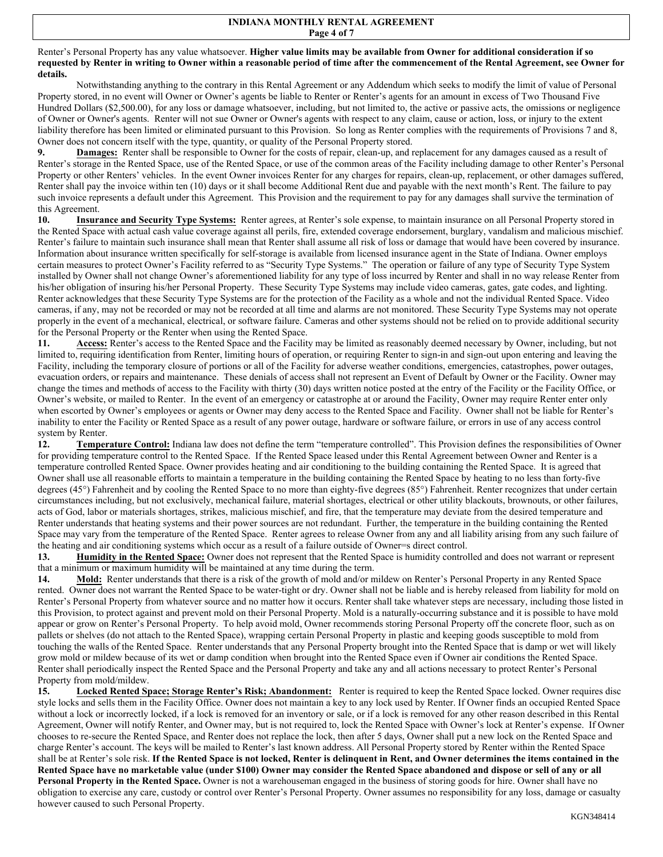#### Renter's Personal Property has any value whatsoever. **Higher value limits may be available from Owner for additional consideration if so requested by Renter in writing to Owner within a reasonable period of time after the commencement of the Rental Agreement, see Owner for details.**

Notwithstanding anything to the contrary in this Rental Agreement or any Addendum which seeks to modify the limit of value of Personal Property stored, in no event will Owner or Owner's agents be liable to Renter or Renter's agents for an amount in excess of Two Thousand Five Hundred Dollars (\$2,500.00), for any loss or damage whatsoever, including, but not limited to, the active or passive acts, the omissions or negligence of Owner or Owner's agents. Renter will not sue Owner or Owner's agents with respect to any claim, cause or action, loss, or injury to the extent liability therefore has been limited or eliminated pursuant to this Provision. So long as Renter complies with the requirements of Provisions 7 and 8, Owner does not concern itself with the type, quantity, or quality of the Personal Property stored.

**9. Damages:** Renter shall be responsible to Owner for the costs of repair, clean-up, and replacement for any damages caused as a result of Renter's storage in the Rented Space, use of the Rented Space, or use of the common areas of the Facility including damage to other Renter's Personal Property or other Renters' vehicles. In the event Owner invoices Renter for any charges for repairs, clean-up, replacement, or other damages suffered, Renter shall pay the invoice within ten (10) days or it shall become Additional Rent due and payable with the next month's Rent. The failure to pay such invoice represents a default under this Agreement. This Provision and the requirement to pay for any damages shall survive the termination of this Agreement.

**10. Insurance and Security Type Systems:** Renter agrees, at Renter's sole expense, to maintain insurance on all Personal Property stored in the Rented Space with actual cash value coverage against all perils, fire, extended coverage endorsement, burglary, vandalism and malicious mischief. Renter's failure to maintain such insurance shall mean that Renter shall assume all risk of loss or damage that would have been covered by insurance. Information about insurance written specifically for self-storage is available from licensed insurance agent in the State of Indiana. Owner employs certain measures to protect Owner's Facility referred to as "Security Type Systems." The operation or failure of any type of Security Type System installed by Owner shall not change Owner's aforementioned liability for any type of loss incurred by Renter and shall in no way release Renter from his/her obligation of insuring his/her Personal Property. These Security Type Systems may include video cameras, gates, gate codes, and lighting. Renter acknowledges that these Security Type Systems are for the protection of the Facility as a whole and not the individual Rented Space. Video cameras, if any, may not be recorded or may not be recorded at all time and alarms are not monitored. These Security Type Systems may not operate properly in the event of a mechanical, electrical, or software failure. Cameras and other systems should not be relied on to provide additional security for the Personal Property or the Renter when using the Rented Space.

11. Access: Renter's access to the Rented Space and the Facility may be limited as reasonably deemed necessary by Owner, including, but not limited to, requiring identification from Renter, limiting hours of operation, or requiring Renter to sign-in and sign-out upon entering and leaving the Facility, including the temporary closure of portions or all of the Facility for adverse weather conditions, emergencies, catastrophes, power outages, evacuation orders, or repairs and maintenance. These denials of access shall not represent an Event of Default by Owner or the Facility. Owner may change the times and methods of access to the Facility with thirty (30) days written notice posted at the entry of the Facility or the Facility Office, or Owner's website, or mailed to Renter. In the event of an emergency or catastrophe at or around the Facility, Owner may require Renter enter only when escorted by Owner's employees or agents or Owner may deny access to the Rented Space and Facility. Owner shall not be liable for Renter's inability to enter the Facility or Rented Space as a result of any power outage, hardware or software failure, or errors in use of any access control system by Renter.

**12. Temperature Control:** Indiana law does not define the term "temperature controlled". This Provision defines the responsibilities of Owner for providing temperature control to the Rented Space. If the Rented Space leased under this Rental Agreement between Owner and Renter is a temperature controlled Rented Space. Owner provides heating and air conditioning to the building containing the Rented Space. It is agreed that Owner shall use all reasonable efforts to maintain a temperature in the building containing the Rented Space by heating to no less than forty-five degrees (45°) Fahrenheit and by cooling the Rented Space to no more than eighty-five degrees (85°) Fahrenheit. Renter recognizes that under certain circumstances including, but not exclusively, mechanical failure, material shortages, electrical or other utility blackouts, brownouts, or other failures, acts of God, labor or materials shortages, strikes, malicious mischief, and fire, that the temperature may deviate from the desired temperature and Renter understands that heating systems and their power sources are not redundant. Further, the temperature in the building containing the Rented Space may vary from the temperature of the Rented Space. Renter agrees to release Owner from any and all liability arising from any such failure of the heating and air conditioning systems which occur as a result of a failure outside of Owner=s direct control.

**13. Humidity in the Rented Space:** Owner does not represent that the Rented Space is humidity controlled and does not warrant or represent that a minimum or maximum humidity will be maintained at any time during the term.

**14. Mold:** Renter understands that there is a risk of the growth of mold and/or mildew on Renter's Personal Property in any Rented Space rented. Owner does not warrant the Rented Space to be water-tight or dry. Owner shall not be liable and is hereby released from liability for mold on Renter's Personal Property from whatever source and no matter how it occurs. Renter shall take whatever steps are necessary, including those listed in this Provision, to protect against and prevent mold on their Personal Property. Mold is a naturally-occurring substance and it is possible to have mold appear or grow on Renter's Personal Property. To help avoid mold, Owner recommends storing Personal Property off the concrete floor, such as on pallets or shelves (do not attach to the Rented Space), wrapping certain Personal Property in plastic and keeping goods susceptible to mold from touching the walls of the Rented Space. Renter understands that any Personal Property brought into the Rented Space that is damp or wet will likely grow mold or mildew because of its wet or damp condition when brought into the Rented Space even if Owner air conditions the Rented Space. Renter shall periodically inspect the Rented Space and the Personal Property and take any and all actions necessary to protect Renter's Personal Property from mold/mildew.

**15. Locked Rented Space; Storage Renter's Risk; Abandonment:** Renter is required to keep the Rented Space locked. Owner requires disc style locks and sells them in the Facility Office. Owner does not maintain a key to any lock used by Renter. If Owner finds an occupied Rented Space without a lock or incorrectly locked, if a lock is removed for an inventory or sale, or if a lock is removed for any other reason described in this Rental Agreement, Owner will notify Renter, and Owner may, but is not required to, lock the Rented Space with Owner's lock at Renter's expense. If Owner chooses to re-secure the Rented Space, and Renter does not replace the lock, then after 5 days, Owner shall put a new lock on the Rented Space and charge Renter's account. The keys will be mailed to Renter's last known address. All Personal Property stored by Renter within the Rented Space shall be at Renter's sole risk. **If the Rented Space is not locked, Renter is delinquent in Rent, and Owner determines the items contained in the Rented Space have no marketable value (under \$100) Owner may consider the Rented Space abandoned and dispose or sell of any or all Personal Property in the Rented Space.** Owner is not a warehouseman engaged in the business of storing goods for hire. Owner shall have no obligation to exercise any care, custody or control over Renter's Personal Property. Owner assumes no responsibility for any loss, damage or casualty however caused to such Personal Property.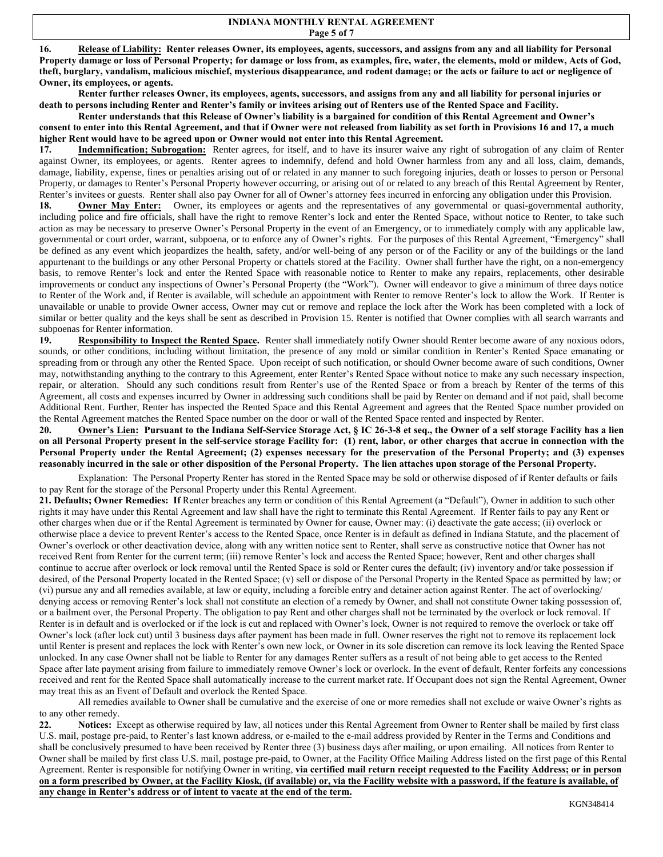**16. Release of Liability: Renter releases Owner, its employees, agents, successors, and assigns from any and all liability for Personal Property damage or loss of Personal Property; for damage or loss from, as examples, fire, water, the elements, mold or mildew, Acts of God, theft, burglary, vandalism, malicious mischief, mysterious disappearance, and rodent damage; or the acts or failure to act or negligence of Owner, its employees, or agents.**

**Renter further releases Owner, its employees, agents, successors, and assigns from any and all liability for personal injuries or death to persons including Renter and Renter's family or invitees arising out of Renters use of the Rented Space and Facility.** 

**Renter understands that this Release of Owner's liability is a bargained for condition of this Rental Agreement and Owner's consent to enter into this Rental Agreement, and that if Owner were not released from liability as set forth in Provisions 16 and 17, a much higher Rent would have to be agreed upon or Owner would not enter into this Rental Agreement.** 

17. **Indemnification; Subrogation:** Renter agrees, for itself, and to have its insurer waive any right of subrogation of any claim of Renter against Owner, its employees, or agents. Renter agrees to indemnify, defend and hold Owner harmless from any and all loss, claim, demands, damage, liability, expense, fines or penalties arising out of or related in any manner to such foregoing injuries, death or losses to person or Personal Property, or damages to Renter's Personal Property however occurring, or arising out of or related to any breach of this Rental Agreement by Renter, Renter's invitees or guests. Renter shall also pay Owner for all of Owner's attorney fees incurred in enforcing any obligation under this Provision.

**18. Owner May Enter:** Owner, its employees or agents and the representatives of any governmental or quasi-governmental authority, including police and fire officials, shall have the right to remove Renter's lock and enter the Rented Space, without notice to Renter, to take such action as may be necessary to preserve Owner's Personal Property in the event of an Emergency, or to immediately comply with any applicable law, governmental or court order, warrant, subpoena, or to enforce any of Owner's rights. For the purposes of this Rental Agreement, "Emergency" shall be defined as any event which jeopardizes the health, safety, and/or well-being of any person or of the Facility or any of the buildings or the land appurtenant to the buildings or any other Personal Property or chattels stored at the Facility. Owner shall further have the right, on a non-emergency basis, to remove Renter's lock and enter the Rented Space with reasonable notice to Renter to make any repairs, replacements, other desirable improvements or conduct any inspections of Owner's Personal Property (the "Work"). Owner will endeavor to give a minimum of three days notice to Renter of the Work and, if Renter is available, will schedule an appointment with Renter to remove Renter's lock to allow the Work. If Renter is unavailable or unable to provide Owner access, Owner may cut or remove and replace the lock after the Work has been completed with a lock of similar or better quality and the keys shall be sent as described in Provision 15. Renter is notified that Owner complies with all search warrants and subpoenas for Renter information.

**19. Responsibility to Inspect the Rented Space.** Renter shall immediately notify Owner should Renter become aware of any noxious odors, sounds, or other conditions, including without limitation, the presence of any mold or similar condition in Renter's Rented Space emanating or spreading from or through any other the Rented Space. Upon receipt of such notification, or should Owner become aware of such conditions, Owner may, notwithstanding anything to the contrary to this Agreement, enter Renter's Rented Space without notice to make any such necessary inspection, repair, or alteration. Should any such conditions result from Renter's use of the Rented Space or from a breach by Renter of the terms of this Agreement, all costs and expenses incurred by Owner in addressing such conditions shall be paid by Renter on demand and if not paid, shall become Additional Rent. Further, Renter has inspected the Rented Space and this Rental Agreement and agrees that the Rented Space number provided on the Rental Agreement matches the Rented Space number on the door or wall of the Rented Space rented and inspected by Renter.

**20. Owner's Lien: Pursuant to the Indiana Self-Service Storage Act, § IC 26-3-8 et seq., the Owner of a self storage Facility has a lien on all Personal Property present in the self-service storage Facility for: (1) rent, labor, or other charges that accrue in connection with the Personal Property under the Rental Agreement; (2) expenses necessary for the preservation of the Personal Property; and (3) expenses reasonably incurred in the sale or other disposition of the Personal Property. The lien attaches upon storage of the Personal Property.**

Explanation: The Personal Property Renter has stored in the Rented Space may be sold or otherwise disposed of if Renter defaults or fails to pay Rent for the storage of the Personal Property under this Rental Agreement.

**21. Defaults; Owner Remedies: If** Renter breaches any term or condition of this Rental Agreement (a "Default"), Owner in addition to such other rights it may have under this Rental Agreement and law shall have the right to terminate this Rental Agreement. If Renter fails to pay any Rent or other charges when due or if the Rental Agreement is terminated by Owner for cause, Owner may: (i) deactivate the gate access; (ii) overlock or otherwise place a device to prevent Renter's access to the Rented Space, once Renter is in default as defined in Indiana Statute, and the placement of Owner's overlock or other deactivation device, along with any written notice sent to Renter, shall serve as constructive notice that Owner has not received Rent from Renter for the current term; (iii) remove Renter's lock and access the Rented Space; however, Rent and other charges shall continue to accrue after overlock or lock removal until the Rented Space is sold or Renter cures the default; (iv) inventory and/or take possession if desired, of the Personal Property located in the Rented Space; (v) sell or dispose of the Personal Property in the Rented Space as permitted by law; or (vi) pursue any and all remedies available, at law or equity, including a forcible entry and detainer action against Renter. The act of overlocking/ denying access or removing Renter's lock shall not constitute an election of a remedy by Owner, and shall not constitute Owner taking possession of, or a bailment over, the Personal Property. The obligation to pay Rent and other charges shall not be terminated by the overlock or lock removal. If Renter is in default and is overlocked or if the lock is cut and replaced with Owner's lock, Owner is not required to remove the overlock or take off Owner's lock (after lock cut) until 3 business days after payment has been made in full. Owner reserves the right not to remove its replacement lock until Renter is present and replaces the lock with Renter's own new lock, or Owner in its sole discretion can remove its lock leaving the Rented Space unlocked. In any case Owner shall not be liable to Renter for any damages Renter suffers as a result of not being able to get access to the Rented Space after late payment arising from failure to immediately remove Owner's lock or overlock. In the event of default, Renter forfeits any concessions received and rent for the Rented Space shall automatically increase to the current market rate. If Occupant does not sign the Rental Agreement, Owner may treat this as an Event of Default and overlock the Rented Space.

All remedies available to Owner shall be cumulative and the exercise of one or more remedies shall not exclude or waive Owner's rights as to any other remedy.

**22. Notices:** Except as otherwise required by law, all notices under this Rental Agreement from Owner to Renter shall be mailed by first class U.S. mail, postage pre-paid, to Renter's last known address, or e-mailed to the e-mail address provided by Renter in the Terms and Conditions and shall be conclusively presumed to have been received by Renter three (3) business days after mailing, or upon emailing. All notices from Renter to Owner shall be mailed by first class U.S. mail, postage pre-paid, to Owner, at the Facility Office Mailing Address listed on the first page of this Rental Agreement. Renter is responsible for notifying Owner in writing, **via certified mail return receipt requested to the Facility Address; or in person on a form prescribed by Owner, at the Facility Kiosk, (if available) or, via the Facility website with a password, if the feature is available, of any change in Renter's address or of intent to vacate at the end of the term.**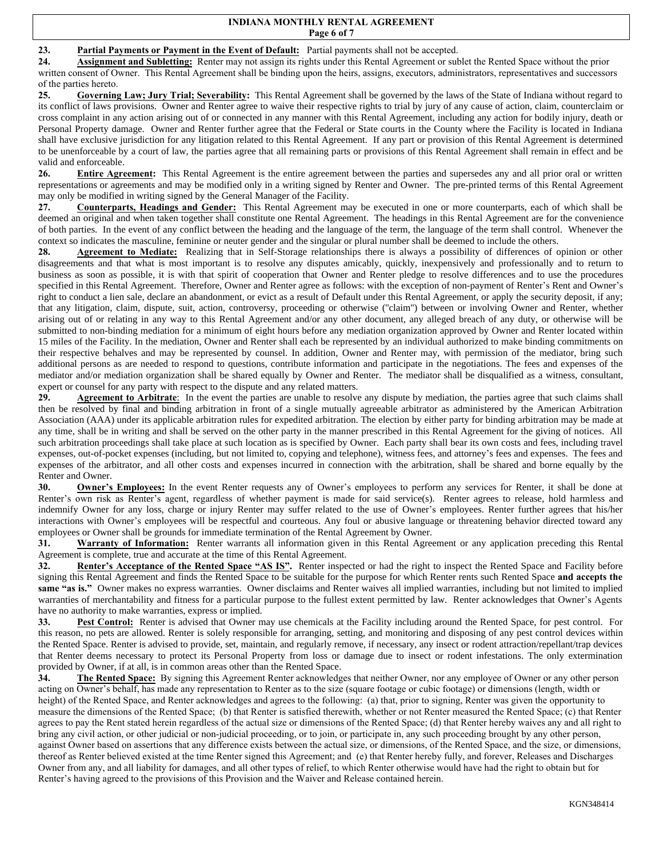### **INDIANA MONTHLY RENTAL AGREEMENT Page 6 of 7**

# **23. Partial Payments or Payment in the Event of Default:** Partial payments shall not be accepted.

**24. Assignment and Subletting:** Renter may not assign its rights under this Rental Agreement or sublet the Rented Space without the prior written consent of Owner. This Rental Agreement shall be binding upon the heirs, assigns, executors, administrators, representatives and successors of the parties hereto.

**25. Governing Law; Jury Trial; Severability:** This Rental Agreement shall be governed by the laws of the State of Indiana without regard to its conflict of laws provisions. Owner and Renter agree to waive their respective rights to trial by jury of any cause of action, claim, counterclaim or cross complaint in any action arising out of or connected in any manner with this Rental Agreement, including any action for bodily injury, death or Personal Property damage. Owner and Renter further agree that the Federal or State courts in the County where the Facility is located in Indiana shall have exclusive jurisdiction for any litigation related to this Rental Agreement. If any part or provision of this Rental Agreement is determined to be unenforceable by a court of law, the parties agree that all remaining parts or provisions of this Rental Agreement shall remain in effect and be valid and enforceable.

**26. Entire Agreement:** This Rental Agreement is the entire agreement between the parties and supersedes any and all prior oral or written representations or agreements and may be modified only in a writing signed by Renter and Owner. The pre-printed terms of this Rental Agreement may only be modified in writing signed by the General Manager of the Facility.

**27. Counterparts, Headings and Gender:** This Rental Agreement may be executed in one or more counterparts, each of which shall be deemed an original and when taken together shall constitute one Rental Agreement. The headings in this Rental Agreement are for the convenience of both parties. In the event of any conflict between the heading and the language of the term, the language of the term shall control. Whenever the context so indicates the masculine, feminine or neuter gender and the singular or plural number shall be deemed to include the others.

**28. Agreement to Mediate:** Realizing that in Self-Storage relationships there is always a possibility of differences of opinion or other disagreements and that what is most important is to resolve any disputes amicably, quickly, inexpensively and professionally and to return to business as soon as possible, it is with that spirit of cooperation that Owner and Renter pledge to resolve differences and to use the procedures specified in this Rental Agreement. Therefore, Owner and Renter agree as follows: with the exception of non-payment of Renter's Rent and Owner's right to conduct a lien sale, declare an abandonment, or evict as a result of Default under this Rental Agreement, or apply the security deposit, if any; that any litigation, claim, dispute, suit, action, controversy, proceeding or otherwise (''claim'') between or involving Owner and Renter, whether arising out of or relating in any way to this Rental Agreement and/or any other document, any alleged breach of any duty, or otherwise will be submitted to non-binding mediation for a minimum of eight hours before any mediation organization approved by Owner and Renter located within 15 miles of the Facility. In the mediation, Owner and Renter shall each be represented by an individual authorized to make binding commitments on their respective behalves and may be represented by counsel. In addition, Owner and Renter may, with permission of the mediator, bring such additional persons as are needed to respond to questions, contribute information and participate in the negotiations. The fees and expenses of the mediator and/or mediation organization shall be shared equally by Owner and Renter. The mediator shall be disqualified as a witness, consultant, expert or counsel for any party with respect to the dispute and any related matters.

**29. Agreement to Arbitrate**: In the event the parties are unable to resolve any dispute by mediation, the parties agree that such claims shall then be resolved by final and binding arbitration in front of a single mutually agreeable arbitrator as administered by the American Arbitration Association (AAA) under its applicable arbitration rules for expedited arbitration. The election by either party for binding arbitration may be made at any time, shall be in writing and shall be served on the other party in the manner prescribed in this Rental Agreement for the giving of notices. All such arbitration proceedings shall take place at such location as is specified by Owner. Each party shall bear its own costs and fees, including travel expenses, out-of-pocket expenses (including, but not limited to, copying and telephone), witness fees, and attorney's fees and expenses. The fees and expenses of the arbitrator, and all other costs and expenses incurred in connection with the arbitration, shall be shared and borne equally by the Renter and Owner.

**30. Owner's Employees:** In the event Renter requests any of Owner's employees to perform any services for Renter, it shall be done at Renter's own risk as Renter's agent, regardless of whether payment is made for said service(s). Renter agrees to release, hold harmless and indemnify Owner for any loss, charge or injury Renter may suffer related to the use of Owner's employees. Renter further agrees that his/her interactions with Owner's employees will be respectful and courteous. Any foul or abusive language or threatening behavior directed toward any employees or Owner shall be grounds for immediate termination of the Rental Agreement by Owner.

**31. Warranty of Information:** Renter warrants all information given in this Rental Agreement or any application preceding this Rental Agreement is complete, true and accurate at the time of this Rental Agreement.

**32. Renter's Acceptance of the Rented Space "AS IS".** Renter inspected or had the right to inspect the Rented Space and Facility before signing this Rental Agreement and finds the Rented Space to be suitable for the purpose for which Renter rents such Rented Space **and accepts the same "as is."** Owner makes no express warranties. Owner disclaims and Renter waives all implied warranties, including but not limited to implied warranties of merchantability and fitness for a particular purpose to the fullest extent permitted by law. Renter acknowledges that Owner's Agents have no authority to make warranties, express or implied.

**33. Pest Control:** Renter is advised that Owner may use chemicals at the Facility including around the Rented Space, for pest control. For this reason, no pets are allowed. Renter is solely responsible for arranging, setting, and monitoring and disposing of any pest control devices within the Rented Space. Renter is advised to provide, set, maintain, and regularly remove, if necessary, any insect or rodent attraction/repellant/trap devices that Renter deems necessary to protect its Personal Property from loss or damage due to insect or rodent infestations. The only extermination provided by Owner, if at all, is in common areas other than the Rented Space.

**34. The Rented Space:** By signing this Agreement Renter acknowledges that neither Owner, nor any employee of Owner or any other person acting on Owner's behalf, has made any representation to Renter as to the size (square footage or cubic footage) or dimensions (length, width or height) of the Rented Space, and Renter acknowledges and agrees to the following: (a) that, prior to signing, Renter was given the opportunity to measure the dimensions of the Rented Space; (b) that Renter is satisfied therewith, whether or not Renter measured the Rented Space; (c) that Renter agrees to pay the Rent stated herein regardless of the actual size or dimensions of the Rented Space; (d) that Renter hereby waives any and all right to bring any civil action, or other judicial or non-judicial proceeding, or to join, or participate in, any such proceeding brought by any other person, against Owner based on assertions that any difference exists between the actual size, or dimensions, of the Rented Space, and the size, or dimensions, thereof as Renter believed existed at the time Renter signed this Agreement; and (e) that Renter hereby fully, and forever, Releases and Discharges Owner from any, and all liability for damages, and all other types of relief, to which Renter otherwise would have had the right to obtain but for Renter's having agreed to the provisions of this Provision and the Waiver and Release contained herein.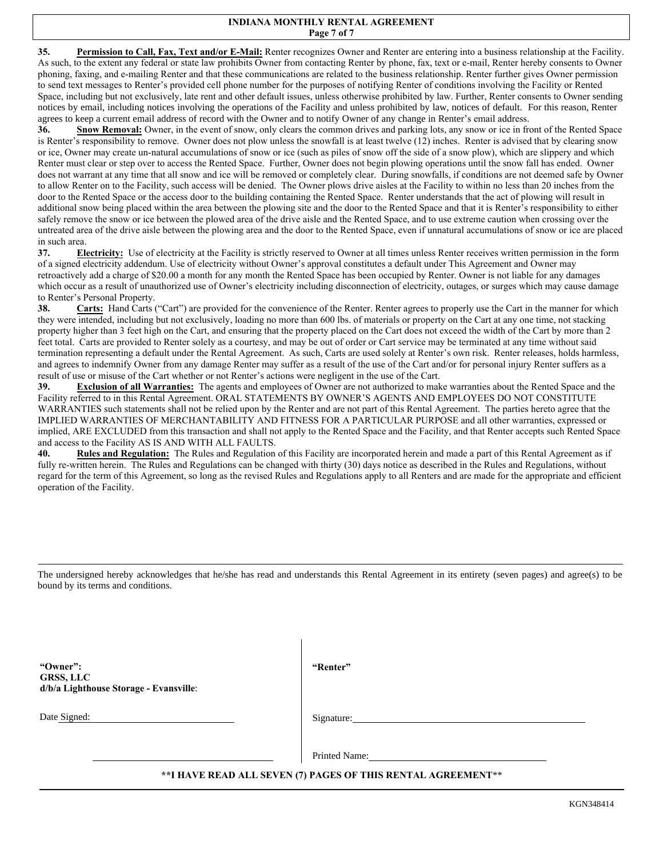### **INDIANA MONTHLY RENTAL AGREEMENT Page 7 of 7**

**35. Permission to Call, Fax, Text and/or E-Mail:** Renter recognizes Owner and Renter are entering into a business relationship at the Facility. As such, to the extent any federal or state law prohibits Owner from contacting Renter by phone, fax, text or e-mail, Renter hereby consents to Owner phoning, faxing, and e-mailing Renter and that these communications are related to the business relationship. Renter further gives Owner permission to send text messages to Renter's provided cell phone number for the purposes of notifying Renter of conditions involving the Facility or Rented Space, including but not exclusively, late rent and other default issues, unless otherwise prohibited by law. Further, Renter consents to Owner sending notices by email, including notices involving the operations of the Facility and unless prohibited by law, notices of default. For this reason, Renter agrees to keep a current email address of record with the Owner and to notify Owner of any change in Renter's email address.

**36. Snow Removal:** Owner, in the event of snow, only clears the common drives and parking lots, any snow or ice in front of the Rented Space is Renter's responsibility to remove. Owner does not plow unless the snowfall is at least twelve (12) inches. Renter is advised that by clearing snow or ice, Owner may create un-natural accumulations of snow or ice (such as piles of snow off the side of a snow plow), which are slippery and which Renter must clear or step over to access the Rented Space. Further, Owner does not begin plowing operations until the snow fall has ended. Owner does not warrant at any time that all snow and ice will be removed or completely clear. During snowfalls, if conditions are not deemed safe by Owner to allow Renter on to the Facility, such access will be denied. The Owner plows drive aisles at the Facility to within no less than 20 inches from the door to the Rented Space or the access door to the building containing the Rented Space. Renter understands that the act of plowing will result in additional snow being placed within the area between the plowing site and the door to the Rented Space and that it is Renter's responsibility to either safely remove the snow or ice between the plowed area of the drive aisle and the Rented Space, and to use extreme caution when crossing over the untreated area of the drive aisle between the plowing area and the door to the Rented Space, even if unnatural accumulations of snow or ice are placed in such area.

**37. Electricity:** Use of electricity at the Facility is strictly reserved to Owner at all times unless Renter receives written permission in the form of a signed electricity addendum. Use of electricity without Owner's approval constitutes a default under This Agreement and Owner may retroactively add a charge of \$20.00 a month for any month the Rented Space has been occupied by Renter. Owner is not liable for any damages which occur as a result of unauthorized use of Owner's electricity including disconnection of electricity, outages, or surges which may cause damage to Renter's Personal Property.

**38. Carts:** Hand Carts ("Cart") are provided for the convenience of the Renter. Renter agrees to properly use the Cart in the manner for which they were intended, including but not exclusively, loading no more than 600 lbs. of materials or property on the Cart at any one time, not stacking property higher than 3 feet high on the Cart, and ensuring that the property placed on the Cart does not exceed the width of the Cart by more than 2 feet total. Carts are provided to Renter solely as a courtesy, and may be out of order or Cart service may be terminated at any time without said termination representing a default under the Rental Agreement. As such, Carts are used solely at Renter's own risk. Renter releases, holds harmless, and agrees to indemnify Owner from any damage Renter may suffer as a result of the use of the Cart and/or for personal injury Renter suffers as a result of use or misuse of the Cart whether or not Renter's actions were negligent in the use of the Cart.

**39. Exclusion of all Warranties:** The agents and employees of Owner are not authorized to make warranties about the Rented Space and the Facility referred to in this Rental Agreement. ORAL STATEMENTS BY OWNER'S AGENTS AND EMPLOYEES DO NOT CONSTITUTE WARRANTIES such statements shall not be relied upon by the Renter and are not part of this Rental Agreement. The parties hereto agree that the IMPLIED WARRANTIES OF MERCHANTABILITY AND FITNESS FOR A PARTICULAR PURPOSE and all other warranties, expressed or implied, ARE EXCLUDED from this transaction and shall not apply to the Rented Space and the Facility, and that Renter accepts such Rented Space and access to the Facility AS IS AND WITH ALL FAULTS.

**40. Rules and Regulation:** The Rules and Regulation of this Facility are incorporated herein and made a part of this Rental Agreement as if fully re-written herein. The Rules and Regulations can be changed with thirty (30) days notice as described in the Rules and Regulations, without regard for the term of this Agreement, so long as the revised Rules and Regulations apply to all Renters and are made for the appropriate and efficient operation of the Facility.

The undersigned hereby acknowledges that he/she has read and understands this Rental Agreement in its entirety (seven pages) and agree(s) to be bound by its terms and conditions.

**"Owner": GRSS, LLC d/b/a Lighthouse Storage - Evansville**: **"Renter"** 

Date Signed:

Signature:

Printed Name:

**\*\*I HAVE READ ALL SEVEN (7) PAGES OF THIS RENTAL AGREEMENT**\*\*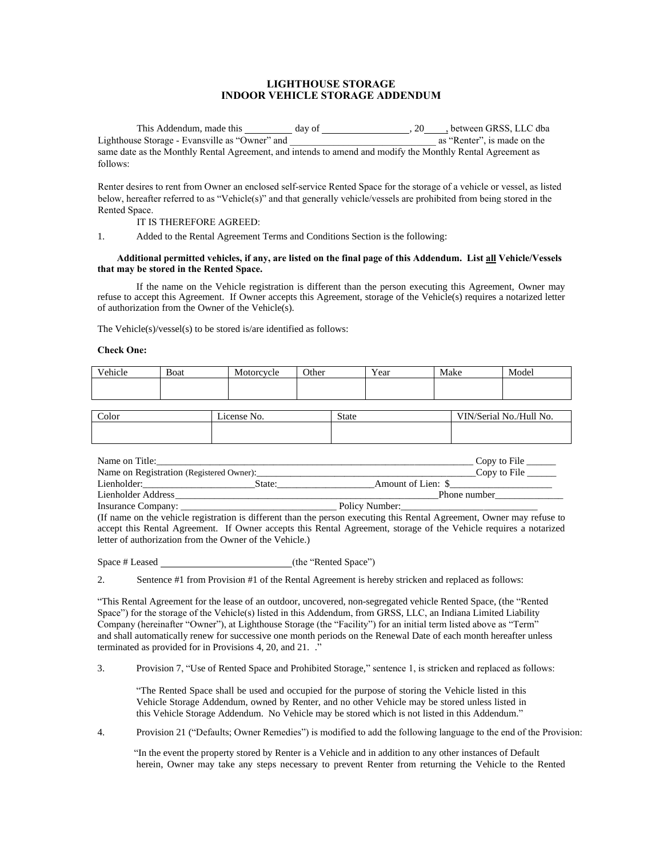# **LIGHTHOUSE STORAGE INDOOR VEHICLE STORAGE ADDENDUM**

This Addendum, made this day of , 20 , between GRSS, LLC dba Lighthouse Storage - Evansville as "Owner" and same date as the Monthly Rental Agreement, and intends to amend and modify the Monthly Rental Agreement as follows:

Renter desires to rent from Owner an enclosed self-service Rented Space for the storage of a vehicle or vessel, as listed below, hereafter referred to as "Vehicle(s)" and that generally vehicle/vessels are prohibited from being stored in the Rented Space.

IT IS THEREFORE AGREED:

1. Added to the Rental Agreement Terms and Conditions Section is the following:

### **Additional permitted vehicles, if any, are listed on the final page of this Addendum. List all Vehicle/Vessels that may be stored in the Rented Space.**

If the name on the Vehicle registration is different than the person executing this Agreement, Owner may refuse to accept this Agreement. If Owner accepts this Agreement, storage of the Vehicle(s) requires a notarized letter of authorization from the Owner of the Vehicle(s).

The Vehicle(s)/vessel(s) to be stored is/are identified as follows:

#### **Check One:**

| Vehicle | Boat | Motorcycle | Other | <b>TT</b><br>Y ear | Make | Model |
|---------|------|------------|-------|--------------------|------|-------|
|         |      |            |       |                    |      |       |
|         |      |            |       |                    |      |       |

| Color | License No. | <b>State</b> | VIN/Serial No./Hull No. |
|-------|-------------|--------------|-------------------------|
|       |             |              |                         |

| Name on Title:     |                                          |                    | Copy to File $\qquad$ |
|--------------------|------------------------------------------|--------------------|-----------------------|
|                    | Name on Registration (Registered Owner): |                    | Copy to File          |
| Lienholder:        | State:                                   | Amount of Lien: \$ |                       |
| Lienholder Address |                                          |                    | Phone number          |
| Insurance Company: |                                          | Policy Number:     |                       |

(If name on the vehicle registration is different than the person executing this Rental Agreement, Owner may refuse to accept this Rental Agreement. If Owner accepts this Rental Agreement, storage of the Vehicle requires a notarized letter of authorization from the Owner of the Vehicle.)

Space # Leased (the "Rented Space")

2. Sentence #1 from Provision #1 of the Rental Agreement is hereby stricken and replaced as follows:

"This Rental Agreement for the lease of an outdoor, uncovered, non-segregated vehicle Rented Space, (the "Rented Space") for the storage of the Vehicle(s) listed in this Addendum, from GRSS, LLC, an Indiana Limited Liability Company (hereinafter "Owner"), at Lighthouse Storage (the "Facility") for an initial term listed above as "Term" and shall automatically renew for successive one month periods on the Renewal Date of each month hereafter unless terminated as provided for in Provisions 4, 20, and 21. ."

3. Provision 7, "Use of Rented Space and Prohibited Storage," sentence 1, is stricken and replaced as follows:

"The Rented Space shall be used and occupied for the purpose of storing the Vehicle listed in this Vehicle Storage Addendum, owned by Renter, and no other Vehicle may be stored unless listed in this Vehicle Storage Addendum. No Vehicle may be stored which is not listed in this Addendum."

4. Provision 21 ("Defaults; Owner Remedies") is modified to add the following language to the end of the Provision:

"In the event the property stored by Renter is a Vehicle and in addition to any other instances of Default herein, Owner may take any steps necessary to prevent Renter from returning the Vehicle to the Rented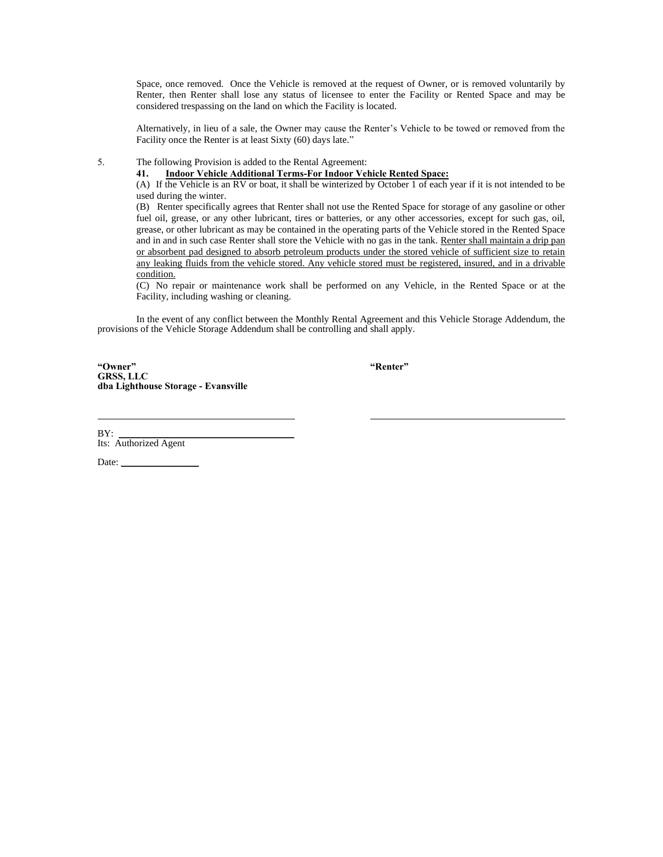Space, once removed. Once the Vehicle is removed at the request of Owner, or is removed voluntarily by Renter, then Renter shall lose any status of licensee to enter the Facility or Rented Space and may be considered trespassing on the land on which the Facility is located.

Alternatively, in lieu of a sale, the Owner may cause the Renter's Vehicle to be towed or removed from the Facility once the Renter is at least Sixty (60) days late."

5. The following Provision is added to the Rental Agreement:

**41. Indoor Vehicle Additional Terms-For Indoor Vehicle Rented Space:**

(A) If the Vehicle is an RV or boat, it shall be winterized by October 1 of each year if it is not intended to be used during the winter.

(B) Renter specifically agrees that Renter shall not use the Rented Space for storage of any gasoline or other fuel oil, grease, or any other lubricant, tires or batteries, or any other accessories, except for such gas, oil, grease, or other lubricant as may be contained in the operating parts of the Vehicle stored in the Rented Space and in and in such case Renter shall store the Vehicle with no gas in the tank. Renter shall maintain a drip pan or absorbent pad designed to absorb petroleum products under the stored vehicle of sufficient size to retain any leaking fluids from the vehicle stored. Any vehicle stored must be registered, insured, and in a drivable condition.

(C) No repair or maintenance work shall be performed on any Vehicle, in the Rented Space or at the Facility, including washing or cleaning.

In the event of any conflict between the Monthly Rental Agreement and this Vehicle Storage Addendum, the provisions of the Vehicle Storage Addendum shall be controlling and shall apply.

**"Owner" "Renter" GRSS, LLC dba Lighthouse Storage - Evansville**

BY: \_\_\_\_\_\_\_\_\_\_\_\_\_\_\_\_\_\_\_\_\_\_\_\_\_\_\_\_\_\_\_\_\_\_\_\_ Its: Authorized Agent

Date:  $\_\_$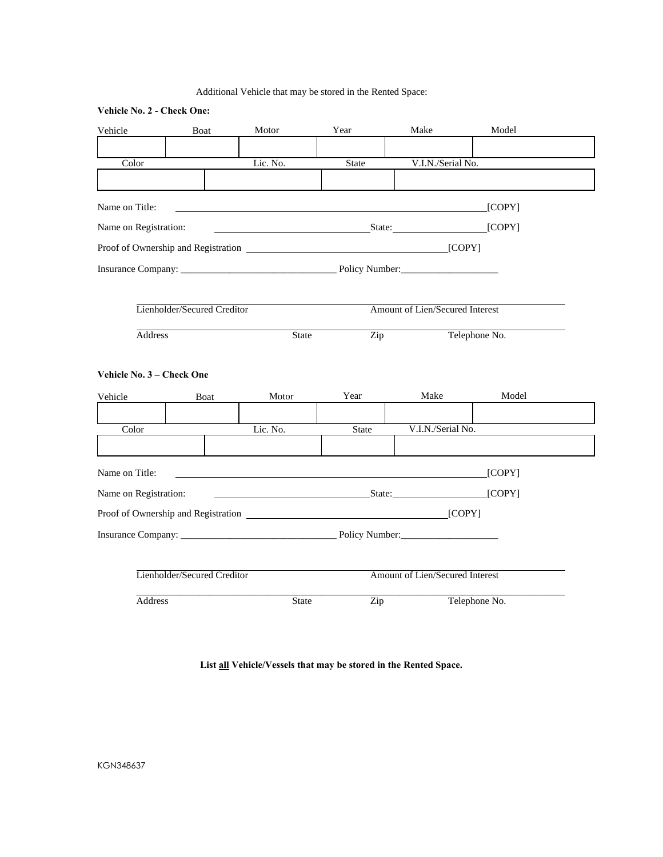# Additional Vehicle that may be stored in the Rented Space:

| Vehicle No. 2 - Check One: |                             |                                   |              |                                 |               |
|----------------------------|-----------------------------|-----------------------------------|--------------|---------------------------------|---------------|
| Vehicle                    | Boat                        | Motor                             | Year         | Make                            | Model         |
|                            |                             |                                   |              |                                 |               |
| Color                      |                             | Lic. No.                          | <b>State</b> | V.I.N./Serial No.               |               |
|                            |                             |                                   |              |                                 |               |
| Name on Title:             |                             |                                   |              |                                 | [COPY]        |
| Name on Registration:      |                             | State:                            |              |                                 | [COPY]        |
|                            |                             |                                   |              |                                 |               |
|                            |                             | Insurance Company: Policy Number: |              |                                 |               |
|                            |                             |                                   |              |                                 |               |
|                            | Lienholder/Secured Creditor |                                   |              | Amount of Lien/Secured Interest |               |
| Address                    |                             | State                             | Zip          |                                 | Telephone No. |
|                            |                             |                                   |              |                                 |               |
| Vehicle No. 3 – Check One  |                             |                                   |              |                                 |               |
| Vehicle                    | Boat                        | Motor                             | Year         | Make                            | Model         |
|                            |                             |                                   |              |                                 |               |
| Color                      |                             | Lic. No.                          | <b>State</b> | V.I.N./Serial No.               |               |
|                            |                             |                                   |              |                                 |               |
| Name on Title:             |                             |                                   |              |                                 | [COPY]        |
| Name on Registration:      |                             | State:                            |              |                                 | [COPY]        |
|                            |                             |                                   |              |                                 |               |
|                            |                             |                                   |              |                                 |               |
|                            |                             |                                   |              |                                 |               |
|                            | Lienholder/Secured Creditor |                                   |              | Amount of Lien/Secured Interest |               |
| Address                    |                             | <b>State</b>                      | Zip          |                                 | Telephone No. |

**List all Vehicle/Vessels that may be stored in the Rented Space.**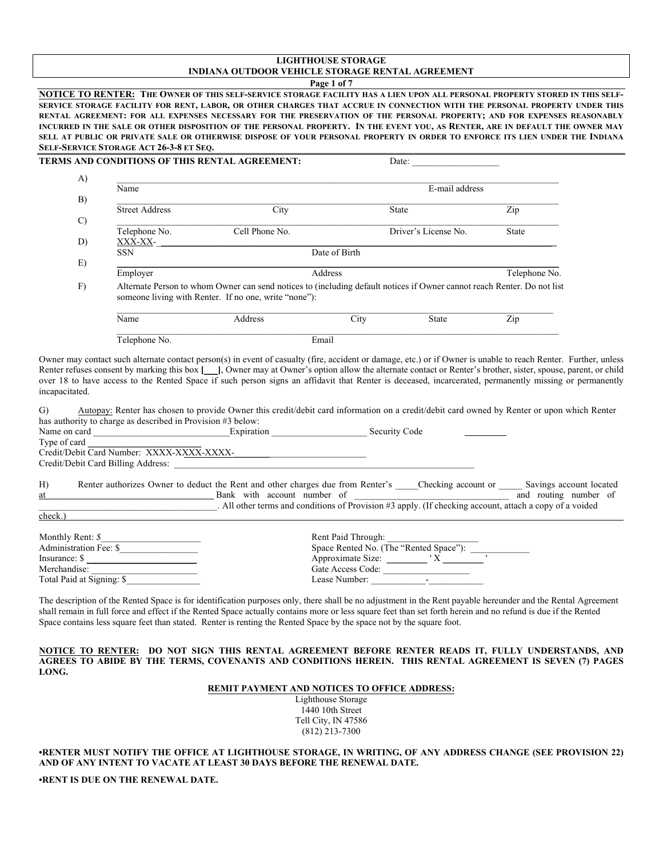# **LIGHTHOUSE STORAGE INDIANA OUTDOOR VEHICLE STORAGE RENTAL AGREEMENT**

**Page 1 of 7** 

**NOTICE TO RENTER: THE OWNER OF THIS SELF-SERVICE STORAGE FACILITY HAS A LIEN UPON ALL PERSONAL PROPERTY STORED IN THIS SELF-SERVICE STORAGE FACILITY FOR RENT, LABOR, OR OTHER CHARGES THAT ACCRUE IN CONNECTION WITH THE PERSONAL PROPERTY UNDER THIS RENTAL AGREEMENT: FOR ALL EXPENSES NECESSARY FOR THE PRESERVATION OF THE PERSONAL PROPERTY; AND FOR EXPENSES REASONABLY INCURRED IN THE SALE OR OTHER DISPOSITION OF THE PERSONAL PROPERTY. IN THE EVENT YOU, AS RENTER, ARE IN DEFAULT THE OWNER MAY SELL AT PUBLIC OR PRIVATE SALE OR OTHERWISE DISPOSE OF YOUR PERSONAL PROPERTY IN ORDER TO ENFORCE ITS LIEN UNDER THE INDIANA SELF-SERVICE STORAGE ACT 26-3-8 ET SEQ.** 

|                                                                | <b>TERMS AND CONDITIONS OF THIS RENTAL AGREEMENT:</b>       |                                                                                                                                                                                                                                                                                                                                                                                                                                                                                            |               |                                                              |                                  |  |
|----------------------------------------------------------------|-------------------------------------------------------------|--------------------------------------------------------------------------------------------------------------------------------------------------------------------------------------------------------------------------------------------------------------------------------------------------------------------------------------------------------------------------------------------------------------------------------------------------------------------------------------------|---------------|--------------------------------------------------------------|----------------------------------|--|
| A)                                                             | Name                                                        |                                                                                                                                                                                                                                                                                                                                                                                                                                                                                            |               | E-mail address                                               |                                  |  |
| B)                                                             |                                                             |                                                                                                                                                                                                                                                                                                                                                                                                                                                                                            |               |                                                              |                                  |  |
|                                                                | <b>Street Address</b>                                       | City                                                                                                                                                                                                                                                                                                                                                                                                                                                                                       |               | State                                                        | Zip                              |  |
| $\mathcal{C}$<br>D)                                            | Telephone No.<br>XXX-XX-                                    | Cell Phone No.                                                                                                                                                                                                                                                                                                                                                                                                                                                                             |               | Driver's License No.                                         | State                            |  |
|                                                                | <b>SSN</b>                                                  |                                                                                                                                                                                                                                                                                                                                                                                                                                                                                            | Date of Birth |                                                              |                                  |  |
| E)                                                             | Employer                                                    |                                                                                                                                                                                                                                                                                                                                                                                                                                                                                            | Address       |                                                              | Telephone No.                    |  |
| F)                                                             |                                                             | Alternate Person to whom Owner can send notices to (including default notices if Owner cannot reach Renter. Do not list                                                                                                                                                                                                                                                                                                                                                                    |               |                                                              |                                  |  |
|                                                                |                                                             | someone living with Renter. If no one, write "none"):                                                                                                                                                                                                                                                                                                                                                                                                                                      |               |                                                              |                                  |  |
|                                                                | Name                                                        | Address                                                                                                                                                                                                                                                                                                                                                                                                                                                                                    | City          | State                                                        | $\mathop{\mathrm{Zip}}\nolimits$ |  |
|                                                                | Telephone No.                                               |                                                                                                                                                                                                                                                                                                                                                                                                                                                                                            | Email         |                                                              |                                  |  |
|                                                                |                                                             | Owner may contact such alternate contact person(s) in event of casualty (fire, accident or damage, etc.) or if Owner is unable to reach Renter. Further, unless<br>Renter refuses consent by marking this box [ ], Owner may at Owner's option allow the alternate contact or Renter's brother, sister, spouse, parent, or child<br>over 18 to have access to the Rented Space if such person signs an affidavit that Renter is deceased, incarcerated, permanently missing or permanently |               |                                                              |                                  |  |
|                                                                | has authority to charge as described in Provision #3 below: | Autopay: Renter has chosen to provide Owner this credit/debit card information on a credit/debit card owned by Renter or upon which Renter                                                                                                                                                                                                                                                                                                                                                 |               |                                                              |                                  |  |
|                                                                |                                                             |                                                                                                                                                                                                                                                                                                                                                                                                                                                                                            |               |                                                              |                                  |  |
|                                                                |                                                             |                                                                                                                                                                                                                                                                                                                                                                                                                                                                                            |               |                                                              |                                  |  |
|                                                                |                                                             | Credit/Debit Card Number: XXXX-XXXX-XXXX-<br>Credit/Debit Card Number: XXXX-XXXX-XXXX-<br>Credit/Debit Card Billing Address:                                                                                                                                                                                                                                                                                                                                                               |               |                                                              |                                  |  |
|                                                                |                                                             | Renter authorizes Owner to deduct the Rent and other charges due from Renter's ____Checking account or _____ Savings account located                                                                                                                                                                                                                                                                                                                                                       |               |                                                              |                                  |  |
|                                                                |                                                             | Bank with account number of $\overline{\phantom{a}}$ and routing number of $\overline{\phantom{a}}$ . All other terms and conditions of Provision #3 apply. (If checking account, attach a copy of a voided                                                                                                                                                                                                                                                                                |               |                                                              |                                  |  |
|                                                                |                                                             |                                                                                                                                                                                                                                                                                                                                                                                                                                                                                            |               |                                                              |                                  |  |
|                                                                | Administration Fee: \$                                      |                                                                                                                                                                                                                                                                                                                                                                                                                                                                                            |               |                                                              |                                  |  |
| incapacitated.<br>G)<br>Type of card<br>$H$ )<br>at<br>check.) | Insurance: $\frac{\sqrt{2}}{2}$                             |                                                                                                                                                                                                                                                                                                                                                                                                                                                                                            |               | Rent Paid Through:<br>Space Rented No. (The "Rented Space"): |                                  |  |
| Merchandise:                                                   | Total Paid at Signing: \$                                   |                                                                                                                                                                                                                                                                                                                                                                                                                                                                                            |               | Gate Access Code:                                            |                                  |  |

shall remain in full force and effect if the Rented Space actually contains more or less square feet than set forth herein and no refund is due if the Rented Space contains less square feet than stated. Renter is renting the Rented Space by the space not by the square foot.

**NOTICE TO RENTER: DO NOT SIGN THIS RENTAL AGREEMENT BEFORE RENTER READS IT, FULLY UNDERSTANDS, AND AGREES TO ABIDE BY THE TERMS, COVENANTS AND CONDITIONS HEREIN. THIS RENTAL AGREEMENT IS SEVEN (7) PAGES LONG.**

#### **REMIT PAYMENT AND NOTICES TO OFFICE ADDRESS:**

Lighthouse Storage 1440 10th Street Tell City, IN 47586 (812) 213-7300

**•RENTER MUST NOTIFY THE OFFICE AT LIGHTHOUSE STORAGE, IN WRITING, OF ANY ADDRESS CHANGE (SEE PROVISION 22) AND OF ANY INTENT TO VACATE AT LEAST 30 DAYS BEFORE THE RENEWAL DATE.**

**•RENT IS DUE ON THE RENEWAL DATE.**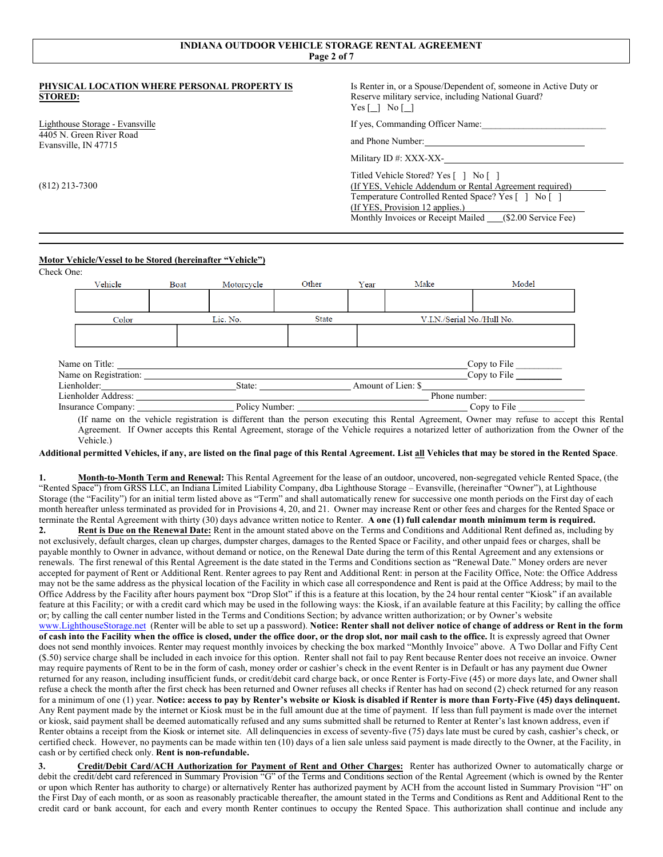# **INDIANA OUTDOOR VEHICLE STORAGE RENTAL AGREEMENT Page 2 of 7**

#### **PHYSICAL LOCATION WHERE PERSONAL PROPERTY IS STORED:**

Lighthouse Storage - Evansville 4405 N. Green River Road Evansville, IN 47715

(812) 213-7300

Is Renter in, or a Spouse/Dependent of, someone in Active Duty or Reserve military service, including National Guard?  $Yes [\ ] No [\ ]$ 

If yes, Commanding Officer Name:

and Phone Number:

Military ID #: XXX-XX-

Titled Vehicle Stored? Yes [ ] No [ ] (If YES, Vehicle Addendum or Rental Agreement required) Temperature Controlled Rented Space? Yes [ ] No [ ] (If YES, Provision 12 applies.) Monthly Invoices or Receipt Mailed \_\_\_\_\_ (\$2.00 Service Fee)

## **Motor Vehicle/Vessel to be Stored (hereinafter "Vehicle")**

Check One:

| Vehicle                   | Boat | Motorcycle     | Other        | Year               | Make | Model                      |  |
|---------------------------|------|----------------|--------------|--------------------|------|----------------------------|--|
|                           |      |                |              |                    |      |                            |  |
|                           |      |                |              |                    |      |                            |  |
| Color                     |      | Lic. No.       | <b>State</b> |                    |      | V.I.N./Serial No./Hull No. |  |
|                           |      |                |              |                    |      |                            |  |
|                           |      |                |              |                    |      |                            |  |
|                           |      |                |              |                    |      |                            |  |
| Name on Title:            |      |                |              |                    |      | Copy to File               |  |
| Name on Registration:     |      |                |              |                    |      | Copy to File               |  |
| Lienholder:               |      | State:         |              | Amount of Lien: \$ |      |                            |  |
| Lienholder Address:       |      |                |              |                    |      | Phone number:              |  |
| <b>Insurance Company:</b> |      | Policy Number: |              |                    |      | Copy to File               |  |
|                           |      |                |              |                    |      |                            |  |

(If name on the vehicle registration is different than the person executing this Rental Agreement, Owner may refuse to accept this Rental Agreement. If Owner accepts this Rental Agreement, storage of the Vehicle requires a notarized letter of authorization from the Owner of the Vehicle.)

**Additional permitted Vehicles, if any, are listed on the final page of this Rental Agreement. List all Vehicles that may be stored in the Rented Space**.

**1. Month-to-Month Term and Renewal:** This Rental Agreement for the lease of an outdoor, uncovered, non-segregated vehicle Rented Space, (the "Rented Space") from GRSS LLC, an Indiana Limited Liability Company, dba Lighthouse Storage – Evansville, (hereinafter "Owner"), at Lighthouse Storage (the "Facility") for an initial term listed above as "Term" and shall automatically renew for successive one month periods on the First day of each month hereafter unless terminated as provided for in Provisions 4, 20, and 21. Owner may increase Rent or other fees and charges for the Rented Space or terminate the Rental Agreement with thirty (30) days advance written notice to Renter. **A one (1) full calendar month minimum term is required.**

**2. Rent is Due on the Renewal Date:** Rent in the amount stated above on the Terms and Conditions and Additional Rent defined as, including by not exclusively, default charges, clean up charges, dumpster charges, damages to the Rented Space or Facility, and other unpaid fees or charges, shall be payable monthly to Owner in advance, without demand or notice, on the Renewal Date during the term of this Rental Agreement and any extensions or renewals. The first renewal of this Rental Agreement is the date stated in the Terms and Conditions section as "Renewal Date." Money orders are never accepted for payment of Rent or Additional Rent. Renter agrees to pay Rent and Additional Rent: in person at the Facility Office, Note: the Office Address may not be the same address as the physical location of the Facility in which case all correspondence and Rent is paid at the Office Address; by mail to the Office Address by the Facility after hours payment box "Drop Slot" if this is a feature at this location, by the 24 hour rental center "Kiosk" if an available feature at this Facility; or with a credit card which may be used in the following ways: the Kiosk, if an available feature at this Facility; by calling the office or; by calling the call center number listed in the Terms and Conditions Section; by advance written authorization; or by Owner's website www.LighthouseStorage.net (Renter will be able to set up a password). **Notice: Renter shall not deliver notice of change of address or Rent in the form**  of cash into the Facility when the office is closed, under the office door, or the drop slot, nor mail cash to the office. It is expressly agreed that Owner does not send monthly invoices. Renter may request monthly invoices by checking the box marked "Monthly Invoice" above. A Two Dollar and Fifty Cent (\$.50) service charge shall be included in each invoice for this option. Renter shall not fail to pay Rent because Renter does not receive an invoice. Owner may require payments of Rent to be in the form of cash, money order or cashier's check in the event Renter is in Default or has any payment due Owner returned for any reason, including insufficient funds, or credit/debit card charge back, or once Renter is Forty-Five (45) or more days late, and Owner shall refuse a check the month after the first check has been returned and Owner refuses all checks if Renter has had on second (2) check returned for any reason for a minimum of one (1) year. **Notice: access to pay by Renter's website or Kiosk is disabled if Renter is more than Forty-Five (45) days delinquent.** Any Rent payment made by the internet or Kiosk must be in the full amount due at the time of payment. If less than full payment is made over the internet or kiosk, said payment shall be deemed automatically refused and any sums submitted shall be returned to Renter at Renter's last known address, even if Renter obtains a receipt from the Kiosk or internet site. All delinquencies in excess of seventy-five (75) days late must be cured by cash, cashier's check, or certified check. However, no payments can be made within ten (10) days of a lien sale unless said payment is made directly to the Owner, at the Facility, in cash or by certified check only. **Rent is non-refundable.** 

**3. Credit/Debit Card/ACH Authorization for Payment of Rent and Other Charges:** Renter has authorized Owner to automatically charge or debit the credit/debt card referenced in Summary Provision "G" of the Terms and Conditions section of the Rental Agreement (which is owned by the Renter or upon which Renter has authority to charge) or alternatively Renter has authorized payment by ACH from the account listed in Summary Provision "H" on the First Day of each month, or as soon as reasonably practicable thereafter, the amount stated in the Terms and Conditions as Rent and Additional Rent to the credit card or bank account, for each and every month Renter continues to occupy the Rented Space. This authorization shall continue and include any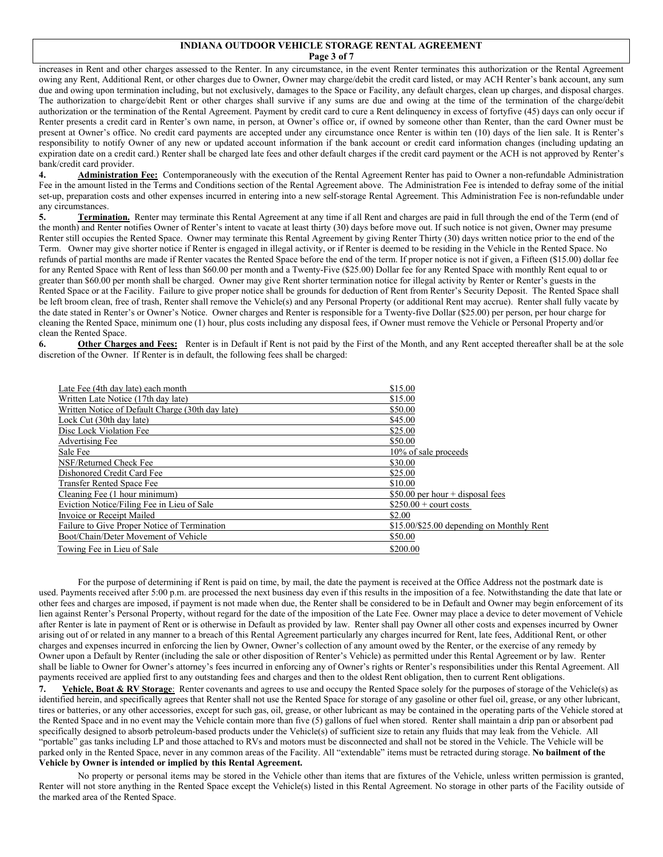#### **INDIANA OUTDOOR VEHICLE STORAGE RENTAL AGREEMENT Page 3 of 7**

increases in Rent and other charges assessed to the Renter. In any circumstance, in the event Renter terminates this authorization or the Rental Agreement owing any Rent, Additional Rent, or other charges due to Owner, Owner may charge/debit the credit card listed, or may ACH Renter's bank account, any sum due and owing upon termination including, but not exclusively, damages to the Space or Facility, any default charges, clean up charges, and disposal charges. The authorization to charge/debit Rent or other charges shall survive if any sums are due and owing at the time of the termination of the charge/debit authorization or the termination of the Rental Agreement. Payment by credit card to cure a Rent delinquency in excess of fortyfive (45) days can only occur if Renter presents a credit card in Renter's own name, in person, at Owner's office or, if owned by someone other than Renter, than the card Owner must be present at Owner's office. No credit card payments are accepted under any circumstance once Renter is within ten (10) days of the lien sale. It is Renter's responsibility to notify Owner of any new or updated account information if the bank account or credit card information changes (including updating an expiration date on a credit card.) Renter shall be charged late fees and other default charges if the credit card payment or the ACH is not approved by Renter's bank/credit card provider.

**4. Administration Fee:** Contemporaneously with the execution of the Rental Agreement Renter has paid to Owner a non-refundable Administration Fee in the amount listed in the Terms and Conditions section of the Rental Agreement above. The Administration Fee is intended to defray some of the initial set-up, preparation costs and other expenses incurred in entering into a new self-storage Rental Agreement. This Administration Fee is non-refundable under any circumstances.

**5. Termination.** Renter may terminate this Rental Agreement at any time if all Rent and charges are paid in full through the end of the Term (end of the month) and Renter notifies Owner of Renter's intent to vacate at least thirty (30) days before move out. If such notice is not given, Owner may presume Renter still occupies the Rented Space. Owner may terminate this Rental Agreement by giving Renter Thirty (30) days written notice prior to the end of the Term. Owner may give shorter notice if Renter is engaged in illegal activity, or if Renter is deemed to be residing in the Vehicle in the Rented Space. No refunds of partial months are made if Renter vacates the Rented Space before the end of the term. If proper notice is not if given, a Fifteen (\$15.00) dollar fee for any Rented Space with Rent of less than \$60.00 per month and a Twenty-Five (\$25.00) Dollar fee for any Rented Space with monthly Rent equal to or greater than \$60.00 per month shall be charged. Owner may give Rent shorter termination notice for illegal activity by Renter or Renter's guests in the Rented Space or at the Facility. Failure to give proper notice shall be grounds for deduction of Rent from Renter's Security Deposit. The Rented Space shall be left broom clean, free of trash, Renter shall remove the Vehicle(s) and any Personal Property (or additional Rent may accrue). Renter shall fully vacate by the date stated in Renter's or Owner's Notice. Owner charges and Renter is responsible for a Twenty-five Dollar (\$25.00) per person, per hour charge for cleaning the Rented Space, minimum one (1) hour, plus costs including any disposal fees, if Owner must remove the Vehicle or Personal Property and/or clean the Rented Space.

6. **Other Charges and Fees:** Renter is in Default if Rent is not paid by the First of the Month, and any Rent accepted thereafter shall be at the sole discretion of the Owner. If Renter is in default, the following fees shall be charged:

| Late Fee (4th day late) each month               | \$15.00                                   |
|--------------------------------------------------|-------------------------------------------|
| Written Late Notice (17th day late)              | \$15.00                                   |
| Written Notice of Default Charge (30th day late) | \$50.00                                   |
| Lock Cut (30th day late)                         | \$45.00                                   |
| Disc Lock Violation Fee                          | \$25.00                                   |
| Advertising Fee                                  | \$50.00                                   |
| Sale Fee                                         | 10% of sale proceeds                      |
| NSF/Returned Check Fee                           | \$30.00                                   |
| Dishonored Credit Card Fee                       | \$25.00                                   |
| <b>Transfer Rented Space Fee</b>                 | \$10.00                                   |
| Cleaning Fee (1 hour minimum)                    | $$50.00$ per hour + disposal fees         |
| Eviction Notice/Filing Fee in Lieu of Sale       | $$250.00 +$ court costs                   |
| Invoice or Receipt Mailed                        | \$2.00                                    |
| Failure to Give Proper Notice of Termination     | \$15.00/\$25.00 depending on Monthly Rent |
| Boot/Chain/Deter Movement of Vehicle             | \$50.00                                   |
| Towing Fee in Lieu of Sale                       | \$200.00                                  |

For the purpose of determining if Rent is paid on time, by mail, the date the payment is received at the Office Address not the postmark date is used. Payments received after 5:00 p.m. are processed the next business day even if this results in the imposition of a fee. Notwithstanding the date that late or other fees and charges are imposed, if payment is not made when due, the Renter shall be considered to be in Default and Owner may begin enforcement of its lien against Renter's Personal Property, without regard for the date of the imposition of the Late Fee. Owner may place a device to deter movement of Vehicle after Renter is late in payment of Rent or is otherwise in Default as provided by law. Renter shall pay Owner all other costs and expenses incurred by Owner arising out of or related in any manner to a breach of this Rental Agreement particularly any charges incurred for Rent, late fees, Additional Rent, or other charges and expenses incurred in enforcing the lien by Owner, Owner's collection of any amount owed by the Renter, or the exercise of any remedy by Owner upon a Default by Renter (including the sale or other disposition of Renter's Vehicle) as permitted under this Rental Agreement or by law. Renter shall be liable to Owner for Owner's attorney's fees incurred in enforcing any of Owner's rights or Renter's responsibilities under this Rental Agreement. All payments received are applied first to any outstanding fees and charges and then to the oldest Rent obligation, then to current Rent obligations.

**7. Vehicle, Boat & RV Storage**: Renter covenants and agrees to use and occupy the Rented Space solely for the purposes of storage of the Vehicle(s) as identified herein, and specifically agrees that Renter shall not use the Rented Space for storage of any gasoline or other fuel oil, grease, or any other lubricant, tires or batteries, or any other accessories, except for such gas, oil, grease, or other lubricant as may be contained in the operating parts of the Vehicle stored at the Rented Space and in no event may the Vehicle contain more than five (5) gallons of fuel when stored. Renter shall maintain a drip pan or absorbent pad specifically designed to absorb petroleum-based products under the Vehicle(s) of sufficient size to retain any fluids that may leak from the Vehicle. All "portable" gas tanks including LP and those attached to RVs and motors must be disconnected and shall not be stored in the Vehicle. The Vehicle will be parked only in the Rented Space, never in any common areas of the Facility. All "extendable" items must be retracted during storage. **No bailment of the Vehicle by Owner is intended or implied by this Rental Agreement.**

No property or personal items may be stored in the Vehicle other than items that are fixtures of the Vehicle, unless written permission is granted, Renter will not store anything in the Rented Space except the Vehicle(s) listed in this Rental Agreement. No storage in other parts of the Facility outside of the marked area of the Rented Space.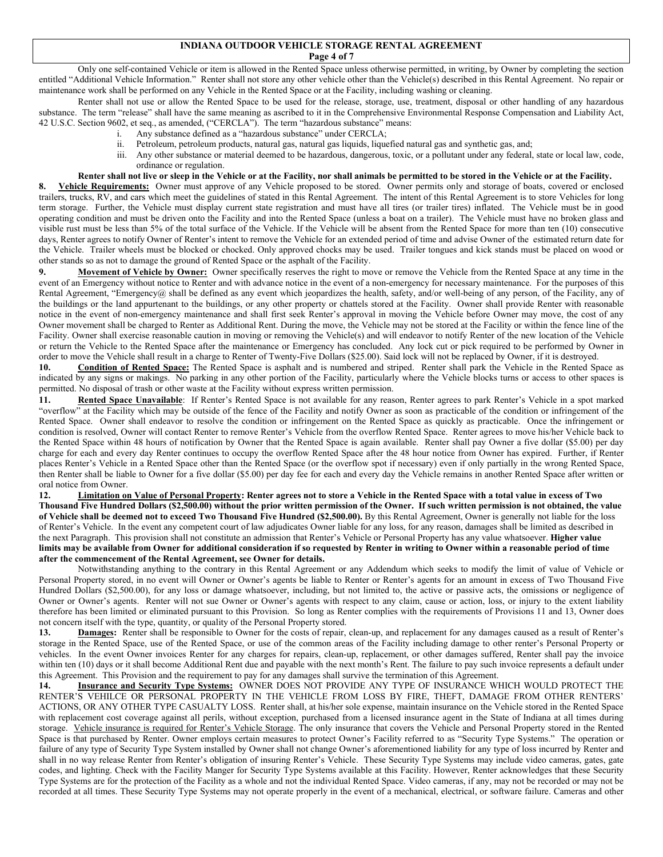#### **INDIANA OUTDOOR VEHICLE STORAGE RENTAL AGREEMENT Page 4 of 7**

Only one self-contained Vehicle or item is allowed in the Rented Space unless otherwise permitted, in writing, by Owner by completing the section entitled "Additional Vehicle Information." Renter shall not store any other vehicle other than the Vehicle(s) described in this Rental Agreement. No repair or maintenance work shall be performed on any Vehicle in the Rented Space or at the Facility, including washing or cleaning.

Renter shall not use or allow the Rented Space to be used for the release, storage, use, treatment, disposal or other handling of any hazardous substance. The term "release" shall have the same meaning as ascribed to it in the Comprehensive Environmental Response Compensation and Liability Act, 42 U.S.C. Section 9602, et seq., as amended, ("CERCLA"). The term "hazardous substance" means:

- i. Any substance defined as a "hazardous substance" under CERCLA;
- ii. Petroleum, petroleum products, natural gas, natural gas liquids, liquefied natural gas and synthetic gas, and;
- iii. Any other substance or material deemed to be hazardous, dangerous, toxic, or a pollutant under any federal, state or local law, code, ordinance or regulation.

#### **Renter shall not live or sleep in the Vehicle or at the Facility, nor shall animals be permitted to be stored in the Vehicle or at the Facility.**

**8. Vehicle Requirements:** Owner must approve of any Vehicle proposed to be stored. Owner permits only and storage of boats, covered or enclosed trailers, trucks, RV, and cars which meet the guidelines of stated in this Rental Agreement. The intent of this Rental Agreement is to store Vehicles for long term storage. Further, the Vehicle must display current state registration and must have all tires (or trailer tires) inflated. The Vehicle must be in good operating condition and must be driven onto the Facility and into the Rented Space (unless a boat on a trailer). The Vehicle must have no broken glass and visible rust must be less than 5% of the total surface of the Vehicle. If the Vehicle will be absent from the Rented Space for more than ten (10) consecutive days, Renter agrees to notify Owner of Renter's intent to remove the Vehicle for an extended period of time and advise Owner of the estimated return date for the Vehicle.Trailer wheels must be blocked or chocked. Only approved chocks may be used.Trailer tongues and kick stands must be placed on wood or other stands so as not to damage the ground of Rented Space or the asphalt of the Facility.

**9. Movement of Vehicle by Owner:** Owner specifically reserves the right to move or remove the Vehicle from the Rented Space at any time in the event of an Emergency without notice to Renter and with advance notice in the event of a non-emergency for necessary maintenance. For the purposes of this Rental Agreement, "Emergency@ shall be defined as any event which jeopardizes the health, safety, and/or well-being of any person, of the Facility, any of the buildings or the land appurtenant to the buildings, or any other property or chattels stored at the Facility. Owner shall provide Renter with reasonable notice in the event of non-emergency maintenance and shall first seek Renter's approval in moving the Vehicle before Owner may move, the cost of any Owner movement shall be charged to Renter as Additional Rent. During the move, the Vehicle may not be stored at the Facility or within the fence line of the Facility. Owner shall exercise reasonable caution in moving or removing the Vehicle(s) and will endeavor to notify Renter of the new location of the Vehicle or return the Vehicle to the Rented Space after the maintenance or Emergency has concluded. Any lock cut or pick required to be performed by Owner in order to move the Vehicle shall result in a charge to Renter of Twenty-Five Dollars (\$25.00). Said lock will not be replaced by Owner, if it is destroyed.

**10. Condition of Rented Space:** The Rented Space is asphalt and is numbered and striped. Renter shall park the Vehicle in the Rented Space as indicated by any signs or makings.No parking in any other portion of the Facility, particularly where the Vehicle blocks turns or access to other spaces is permitted. No disposal of trash or other waste at the Facility without express written permission.

11. **Rented Space Unavailable**: If Renter's Rented Space is not available for any reason, Renter agrees to park Renter's Vehicle in a spot marked "overflow" at the Facility which may be outside of the fence of the Facility and notify Owner as soon as practicable of the condition or infringement of the Rented Space. Owner shall endeavor to resolve the condition or infringement on the Rented Space as quickly as practicable. Once the infringement or condition is resolved, Owner will contact Renter to remove Renter's Vehicle from the overflow Rented Space. Renter agrees to move his/her Vehicle back to the Rented Space within 48 hours of notification by Owner that the Rented Space is again available. Renter shall pay Owner a five dollar (\$5.00) per day charge for each and every day Renter continues to occupy the overflow Rented Space after the 48 hour notice from Owner has expired. Further, if Renter places Renter's Vehicle in a Rented Space other than the Rented Space (or the overflow spot if necessary) even if only partially in the wrong Rented Space, then Renter shall be liable to Owner for a five dollar (\$5.00) per day fee for each and every day the Vehicle remains in another Rented Space after written or oral notice from Owner.

**12. Limitation on Value of Personal Property: Renter agrees not to store a Vehicle in the Rented Space with a total value in excess of Two Thousand Five Hundred Dollars (\$2,500.00) without the prior written permission of the Owner. If such written permission is not obtained, the value of Vehicle shall be deemed not to exceed Two Thousand Five Hundred (\$2,500.00).** By this Rental Agreement, Owner is generally not liable for the loss of Renter's Vehicle. In the event any competent court of law adjudicates Owner liable for any loss, for any reason, damages shall be limited as described in the next Paragraph. This provision shall not constitute an admission that Renter's Vehicle or Personal Property has any value whatsoever. **Higher value limits may be available from Owner for additional consideration if so requested by Renter in writing to Owner within a reasonable period of time after the commencement of the Rental Agreement, see Owner for details.**

Notwithstanding anything to the contrary in this Rental Agreement or any Addendum which seeks to modify the limit of value of Vehicle or Personal Property stored, in no event will Owner or Owner's agents be liable to Renter or Renter's agents for an amount in excess of Two Thousand Five Hundred Dollars (\$2,500.00), for any loss or damage whatsoever, including, but not limited to, the active or passive acts, the omissions or negligence of Owner or Owner's agents. Renter will not sue Owner or Owner's agents with respect to any claim, cause or action, loss, or injury to the extent liability therefore has been limited or eliminated pursuant to this Provision. So long as Renter complies with the requirements of Provisions 11 and 13, Owner does not concern itself with the type, quantity, or quality of the Personal Property stored.

13. **Damages:** Renter shall be responsible to Owner for the costs of repair, clean-up, and replacement for any damages caused as a result of Renter's storage in the Rented Space, use of the Rented Space, or use of the common areas of the Facility including damage to other renter's Personal Property or vehicles. In the event Owner invoices Renter for any charges for repairs, clean-up, replacement, or other damages suffered, Renter shall pay the invoice within ten (10) days or it shall become Additional Rent due and payable with the next month's Rent. The failure to pay such invoice represents a default under this Agreement. This Provision and the requirement to pay for any damages shall survive the termination of this Agreement.

**14. Insurance and Security Type Systems:** OWNER DOES NOT PROVIDE ANY TYPE OF INSURANCE WHICH WOULD PROTECT THE RENTER'S VEHILCE OR PERSONAL PROPERTY IN THE VEHICLE FROM LOSS BY FIRE, THEFT, DAMAGE FROM OTHER RENTERS' ACTIONS, OR ANY OTHER TYPE CASUALTY LOSS. Renter shall, at his/her sole expense, maintain insurance on the Vehicle stored in the Rented Space with replacement cost coverage against all perils, without exception, purchased from a licensed insurance agent in the State of Indiana at all times during storage. Vehicle insurance is required for Renter's Vehicle Storage. The only insurance that covers the Vehicle and Personal Property stored in the Rented Space is that purchased by Renter. Owner employs certain measures to protect Owner's Facility referred to as "Security Type Systems." The operation or failure of any type of Security Type System installed by Owner shall not change Owner's aforementioned liability for any type of loss incurred by Renter and shall in no way release Renter from Renter's obligation of insuring Renter's Vehicle. These Security Type Systems may include video cameras, gates, gate codes, and lighting. Check with the Facility Manger for Security Type Systems available at this Facility. However, Renter acknowledges that these Security Type Systems are for the protection of the Facility as a whole and not the individual Rented Space. Video cameras, if any, may not be recorded or may not be recorded at all times. These Security Type Systems may not operate properly in the event of a mechanical, electrical, or software failure. Cameras and other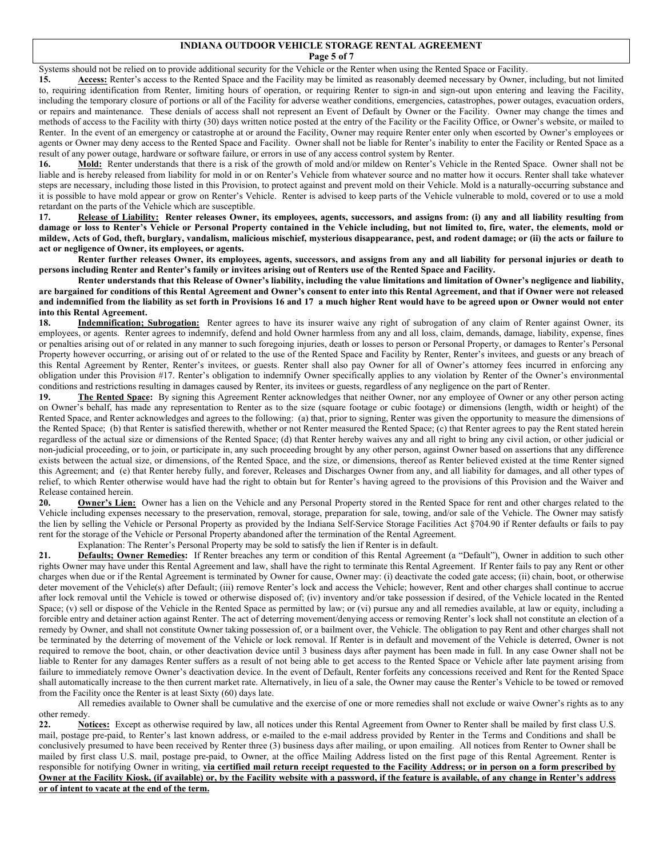### **INDIANA OUTDOOR VEHICLE STORAGE RENTAL AGREEMENT Page 5 of 7**

Systems should not be relied on to provide additional security for the Vehicle or the Renter when using the Rented Space or Facility.

**15. Access:** Renter's access to the Rented Space and the Facility may be limited as reasonably deemed necessary by Owner, including, but not limited to, requiring identification from Renter, limiting hours of operation, or requiring Renter to sign-in and sign-out upon entering and leaving the Facility, including the temporary closure of portions or all of the Facility for adverse weather conditions, emergencies, catastrophes, power outages, evacuation orders, or repairs and maintenance. These denials of access shall not represent an Event of Default by Owner or the Facility. Owner may change the times and methods of access to the Facility with thirty (30) days written notice posted at the entry of the Facility or the Facility Office, or Owner's website, or mailed to Renter. In the event of an emergency or catastrophe at or around the Facility, Owner may require Renter enter only when escorted by Owner's employees or agents or Owner may deny access to the Rented Space and Facility. Owner shall not be liable for Renter's inability to enter the Facility or Rented Space as a result of any power outage, hardware or software failure, or errors in use of any access control system by Renter.

16. Mold: Renter understands that there is a risk of the growth of mold and/or mildew on Renter's Vehicle in the Rented Space. Owner shall not be liable and is hereby released from liability for mold in or on Renter's Vehicle from whatever source and no matter how it occurs. Renter shall take whatever steps are necessary, including those listed in this Provision, to protect against and prevent mold on their Vehicle. Mold is a naturally-occurring substance and it is possible to have mold appear or grow on Renter's Vehicle. Renter is advised to keep parts of the Vehicle vulnerable to mold, covered or to use a mold retardant on the parts of the Vehicle which are susceptible.

**17. Release of Liability: Renter releases Owner, its employees, agents, successors, and assigns from: (i) any and all liability resulting from damage or loss to Renter's Vehicle or Personal Property contained in the Vehicle including, but not limited to, fire, water, the elements, mold or mildew, Acts of God, theft, burglary, vandalism, malicious mischief, mysterious disappearance, pest, and rodent damage; or (ii) the acts or failure to act or negligence of Owner, its employees, or agents.**

**Renter further releases Owner, its employees, agents, successors, and assigns from any and all liability for personal injuries or death to persons including Renter and Renter's family or invitees arising out of Renters use of the Rented Space and Facility.** 

**Renter understands that this Release of Owner's liability, including the value limitations and limitation of Owner's negligence and liability, are bargained for conditions of this Rental Agreement and Owner's consent to enter into this Rental Agreement, and that if Owner were not released and indemnified from the liability as set forth in Provisions 16 and 17 a much higher Rent would have to be agreed upon or Owner would not enter into this Rental Agreement.** 

18. **Indemnification; Subrogation:** Renter agrees to have its insurer waive any right of subrogation of any claim of Renter against Owner, its employees, or agents. Renter agrees to indemnify, defend and hold Owner harmless from any and all loss, claim, demands, damage, liability, expense, fines or penalties arising out of or related in any manner to such foregoing injuries, death or losses to person or Personal Property, or damages to Renter's Personal Property however occurring, or arising out of or related to the use of the Rented Space and Facility by Renter, Renter's invitees, and guests or any breach of this Rental Agreement by Renter, Renter's invitees, or guests. Renter shall also pay Owner for all of Owner's attorney fees incurred in enforcing any obligation under this Provision #17. Renter's obligation to indemnify Owner specifically applies to any violation by Renter of the Owner's environmental conditions and restrictions resulting in damages caused by Renter, its invitees or guests, regardless of any negligence on the part of Renter.

19. **The Rented Space:** By signing this Agreement Renter acknowledges that neither Owner, nor any employee of Owner or any other person acting on Owner's behalf, has made any representation to Renter as to the size (square footage or cubic footage) or dimensions (length, width or height) of the Rented Space, and Renter acknowledges and agrees to the following: (a) that, prior to signing, Renter was given the opportunity to measure the dimensions of the Rented Space; (b) that Renter is satisfied therewith, whether or not Renter measured the Rented Space; (c) that Renter agrees to pay the Rent stated herein regardless of the actual size or dimensions of the Rented Space; (d) that Renter hereby waives any and all right to bring any civil action, or other judicial or non-judicial proceeding, or to join, or participate in, any such proceeding brought by any other person, against Owner based on assertions that any difference exists between the actual size, or dimensions, of the Rented Space, and the size, or dimensions, thereof as Renter believed existed at the time Renter signed this Agreement; and (e) that Renter hereby fully, and forever, Releases and Discharges Owner from any, and all liability for damages, and all other types of relief, to which Renter otherwise would have had the right to obtain but for Renter's having agreed to the provisions of this Provision and the Waiver and Release contained herein.

**20. Owner's Lien:** Owner has a lien on the Vehicle and any Personal Property stored in the Rented Space for rent and other charges related to the Vehicle including expenses necessary to the preservation, removal, storage, preparation for sale, towing, and/or sale of the Vehicle. The Owner may satisfy the lien by selling the Vehicle or Personal Property as provided by the Indiana Self-Service Storage Facilities Act §704.90 if Renter defaults or fails to pay rent for the storage of the Vehicle or Personal Property abandoned after the termination of the Rental Agreement.

Explanation: The Renter's Personal Property may be sold to satisfy the lien if Renter is in default.

**21. Defaults; Owner Remedies:** If Renter breaches any term or condition of this Rental Agreement (a "Default"), Owner in addition to such other rights Owner may have under this Rental Agreement and law, shall have the right to terminate this Rental Agreement. If Renter fails to pay any Rent or other charges when due or if the Rental Agreement is terminated by Owner for cause, Owner may: (i) deactivate the coded gate access; (ii) chain, boot, or otherwise deter movement of the Vehicle(s) after Default; (iii) remove Renter's lock and access the Vehicle; however, Rent and other charges shall continue to accrue after lock removal until the Vehicle is towed or otherwise disposed of; (iv) inventory and/or take possession if desired, of the Vehicle located in the Rented Space; (v) sell or dispose of the Vehicle in the Rented Space as permitted by law; or (vi) pursue any and all remedies available, at law or equity, including a forcible entry and detainer action against Renter. The act of deterring movement/denying access or removing Renter's lock shall not constitute an election of a remedy by Owner, and shall not constitute Owner taking possession of, or a bailment over, the Vehicle. The obligation to pay Rent and other charges shall not be terminated by the deterring of movement of the Vehicle or lock removal. If Renter is in default and movement of the Vehicle is deterred, Owner is not required to remove the boot, chain, or other deactivation device until 3 business days after payment has been made in full. In any case Owner shall not be liable to Renter for any damages Renter suffers as a result of not being able to get access to the Rented Space or Vehicle after late payment arising from failure to immediately remove Owner's deactivation device. In the event of Default, Renter forfeits any concessions received and Rent for the Rented Space shall automatically increase to the then current market rate. Alternatively, in lieu of a sale, the Owner may cause the Renter's Vehicle to be towed or removed from the Facility once the Renter is at least Sixty (60) days late.

All remedies available to Owner shall be cumulative and the exercise of one or more remedies shall not exclude or waive Owner's rights as to any other remedy.

22. **Notices:** Except as otherwise required by law, all notices under this Rental Agreement from Owner to Renter shall be mailed by first class U.S. mail, postage pre-paid, to Renter's last known address, or e-mailed to the e-mail address provided by Renter in the Terms and Conditions and shall be conclusively presumed to have been received by Renter three (3) business days after mailing, or upon emailing. All notices from Renter to Owner shall be mailed by first class U.S. mail, postage pre-paid, to Owner, at the office Mailing Address listed on the first page of this Rental Agreement. Renter is responsible for notifying Owner in writing, **via certified mail return receipt requested to the Facility Address; or in person on a form prescribed by Owner at the Facility Kiosk, (if available) or, by the Facility website with a password, if the feature is available, of any change in Renter's address or of intent to vacate at the end of the term.**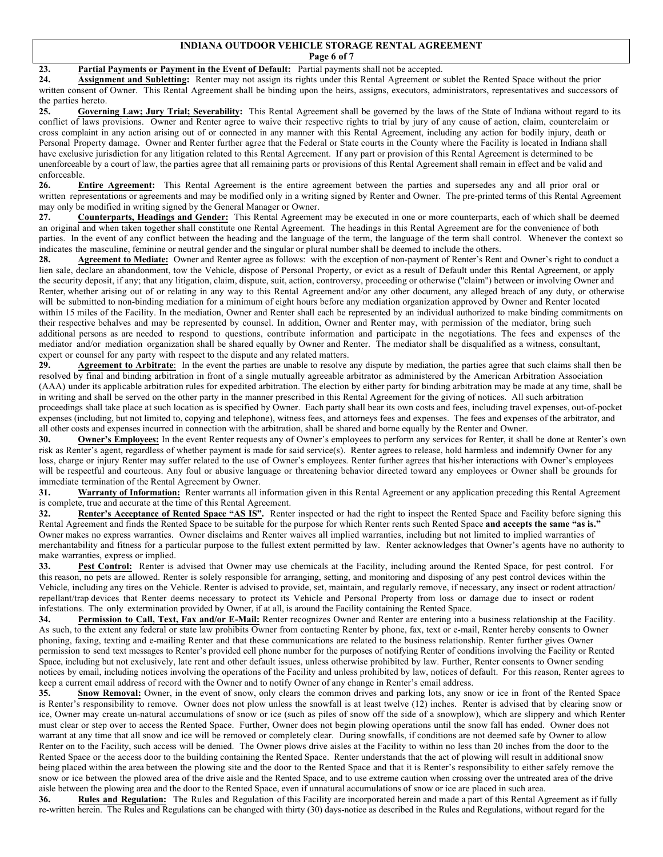#### **INDIANA OUTDOOR VEHICLE STORAGE RENTAL AGREEMENT Page 6 of 7**

# **23. Partial Payments or Payment in the Event of Default:** Partial payments shall not be accepted.

**24. Assignment and Subletting:** Renter may not assign its rights under this Rental Agreement or sublet the Rented Space without the prior written consent of Owner. This Rental Agreement shall be binding upon the heirs, assigns, executors, administrators, representatives and successors of the parties hereto.

**25. Governing Law; Jury Trial; Severability:** This Rental Agreement shall be governed by the laws of the State of Indiana without regard to its conflict of laws provisions. Owner and Renter agree to waive their respective rights to trial by jury of any cause of action, claim, counterclaim or cross complaint in any action arising out of or connected in any manner with this Rental Agreement, including any action for bodily injury, death or Personal Property damage. Owner and Renter further agree that the Federal or State courts in the County where the Facility is located in Indiana shall have exclusive jurisdiction for any litigation related to this Rental Agreement. If any part or provision of this Rental Agreement is determined to be unenforceable by a court of law, the parties agree that all remaining parts or provisions of this Rental Agreement shall remain in effect and be valid and enforceable.

**26. Entire Agreement:** This Rental Agreement is the entire agreement between the parties and supersedes any and all prior oral or written representations or agreements and may be modified only in a writing signed by Renter and Owner. The pre-printed terms of this Rental Agreement may only be modified in writing signed by the General Manager or Owner.

**27. Counterparts, Headings and Gender:** This Rental Agreement may be executed in one or more counterparts, each of which shall be deemed an original and when taken together shall constitute one Rental Agreement. The headings in this Rental Agreement are for the convenience of both parties. In the event of any conflict between the heading and the language of the term, the language of the term shall control. Whenever the context so indicates the masculine, feminine or neutral gender and the singular or plural number shall be deemed to include the others.

**28. Agreement to Mediate:** Owner and Renter agree as follows: with the exception of non-payment of Renter's Rent and Owner's right to conduct a lien sale, declare an abandonment, tow the Vehicle, dispose of Personal Property, or evict as a result of Default under this Rental Agreement, or apply the security deposit, if any; that any litigation, claim, dispute, suit, action, controversy, proceeding or otherwise (''claim'') between or involving Owner and Renter, whether arising out of or relating in any way to this Rental Agreement and/or any other document, any alleged breach of any duty, or otherwise will be submitted to non-binding mediation for a minimum of eight hours before any mediation organization approved by Owner and Renter located within 15 miles of the Facility. In the mediation, Owner and Renter shall each be represented by an individual authorized to make binding commitments on their respective behalves and may be represented by counsel. In addition, Owner and Renter may, with permission of the mediator, bring such additional persons as are needed to respond to questions, contribute information and participate in the negotiations. The fees and expenses of the mediator and/or mediation organization shall be shared equally by Owner and Renter. The mediator shall be disqualified as a witness, consultant, expert or counsel for any party with respect to the dispute and any related matters.

**29. Agreement to Arbitrate**: In the event the parties are unable to resolve any dispute by mediation, the parties agree that such claims shall then be resolved by final and binding arbitration in front of a single mutually agreeable arbitrator as administered by the American Arbitration Association (AAA) under its applicable arbitration rules for expedited arbitration. The election by either party for binding arbitration may be made at any time, shall be in writing and shall be served on the other party in the manner prescribed in this Rental Agreement for the giving of notices. All such arbitration proceedings shall take place at such location as is specified by Owner. Each party shall bear its own costs and fees, including travel expenses, out-of-pocket expenses (including, but not limited to, copying and telephone), witness fees, and attorneys fees and expenses. The fees and expenses of the arbitrator, and all other costs and expenses incurred in connection with the arbitration, shall be shared and borne equally by the Renter and Owner.

**30. Owner's Employees:** In the event Renter requests any of Owner's employees to perform any services for Renter, it shall be done at Renter's own risk as Renter's agent, regardless of whether payment is made for said service(s). Renter agrees to release, hold harmless and indemnify Owner for any loss, charge or injury Renter may suffer related to the use of Owner's employees. Renter further agrees that his/her interactions with Owner's employees will be respectful and courteous. Any foul or abusive language or threatening behavior directed toward any employees or Owner shall be grounds for immediate termination of the Rental Agreement by Owner.

**31. Warranty of Information:** Renter warrants all information given in this Rental Agreement or any application preceding this Rental Agreement is complete, true and accurate at the time of this Rental Agreement.

**32. Renter's Acceptance of Rented Space "AS IS".** Renter inspected or had the right to inspect the Rented Space and Facility before signing this Rental Agreement and finds the Rented Space to be suitable for the purpose for which Renter rents such Rented Space **and accepts the same "as is."**  Owner makes no express warranties. Owner disclaims and Renter waives all implied warranties, including but not limited to implied warranties of merchantability and fitness for a particular purpose to the fullest extent permitted by law. Renter acknowledges that Owner's agents have no authority to make warranties, express or implied.

33. Pest Control: Renter is advised that Owner may use chemicals at the Facility, including around the Rented Space, for pest control. For this reason, no pets are allowed. Renter is solely responsible for arranging, setting, and monitoring and disposing of any pest control devices within the Vehicle, including any tires on the Vehicle. Renter is advised to provide, set, maintain, and regularly remove, if necessary, any insect or rodent attraction/ repellant/trap devices that Renter deems necessary to protect its Vehicle and Personal Property from loss or damage due to insect or rodent infestations. The only extermination provided by Owner, if at all, is around the Facility containing the Rented Space.

**34. Permission to Call, Text, Fax and/or E-Mail:** Renter recognizes Owner and Renter are entering into a business relationship at the Facility. As such, to the extent any federal or state law prohibits Owner from contacting Renter by phone, fax, text or e-mail, Renter hereby consents to Owner phoning, faxing, texting and e-mailing Renter and that these communications are related to the business relationship. Renter further gives Owner permission to send text messages to Renter's provided cell phone number for the purposes of notifying Renter of conditions involving the Facility or Rented Space, including but not exclusively, late rent and other default issues, unless otherwise prohibited by law. Further, Renter consents to Owner sending notices by email, including notices involving the operations of the Facility and unless prohibited by law, notices of default. For this reason, Renter agrees to keep a current email address of record with the Owner and to notify Owner of any change in Renter's email address.

**35. Snow Removal:** Owner, in the event of snow, only clears the common drives and parking lots, any snow or ice in front of the Rented Space is Renter's responsibility to remove. Owner does not plow unless the snowfall is at least twelve (12) inches. Renter is advised that by clearing snow or ice, Owner may create un-natural accumulations of snow or ice (such as piles of snow off the side of a snowplow), which are slippery and which Renter must clear or step over to access the Rented Space. Further, Owner does not begin plowing operations until the snow fall has ended. Owner does not warrant at any time that all snow and ice will be removed or completely clear. During snowfalls, if conditions are not deemed safe by Owner to allow Renter on to the Facility, such access will be denied. The Owner plows drive aisles at the Facility to within no less than 20 inches from the door to the Rented Space or the access door to the building containing the Rented Space. Renter understands that the act of plowing will result in additional snow being placed within the area between the plowing site and the door to the Rented Space and that it is Renter's responsibility to either safely remove the snow or ice between the plowed area of the drive aisle and the Rented Space, and to use extreme caution when crossing over the untreated area of the drive aisle between the plowing area and the door to the Rented Space, even if unnatural accumulations of snow or ice are placed in such area.

**36. Rules and Regulation:** The Rules and Regulation of this Facility are incorporated herein and made a part of this Rental Agreement as if fully re-written herein. The Rules and Regulations can be changed with thirty (30) days-notice as described in the Rules and Regulations, without regard for the